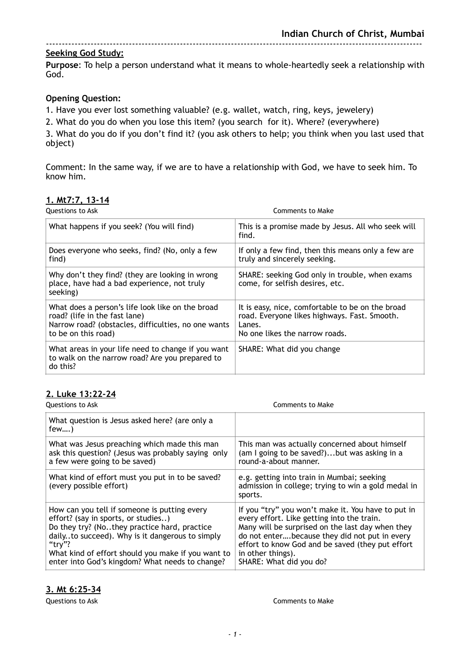#### **Seeking God Study:**

**Purpose**: To help a person understand what it means to whole-heartedly seek a relationship with God.

#### **Opening Question:**

1. Have you ever lost something valuable? (e.g. wallet, watch, ring, keys, jewelery)

2. What do you do when you lose this item? (you search for it). Where? (everywhere)

3. What do you do if you don't find it? (you ask others to help; you think when you last used that object)

Comment: In the same way, if we are to have a relationship with God, we have to seek him. To know him.

#### **1. Mt7:7, 13-14**

| Questions to Ask                                                                                                                                                | Comments to Make                                                                                                                             |
|-----------------------------------------------------------------------------------------------------------------------------------------------------------------|----------------------------------------------------------------------------------------------------------------------------------------------|
| What happens if you seek? (You will find)                                                                                                                       | This is a promise made by Jesus. All who seek will<br>find.                                                                                  |
| Does everyone who seeks, find? (No, only a few<br>find)                                                                                                         | If only a few find, then this means only a few are<br>truly and sincerely seeking.                                                           |
| Why don't they find? (they are looking in wrong<br>place, have had a bad experience, not truly<br>seeking)                                                      | SHARE: seeking God only in trouble, when exams<br>come, for selfish desires, etc.                                                            |
| What does a person's life look like on the broad<br>road? (life in the fast lane)<br>Narrow road? (obstacles, difficulties, no one wants<br>to be on this road) | It is easy, nice, comfortable to be on the broad<br>road. Everyone likes highways. Fast. Smooth.<br>Lanes.<br>No one likes the narrow roads. |
| What areas in your life need to change if you want<br>to walk on the narrow road? Are you prepared to<br>do this?                                               | SHARE: What did you change                                                                                                                   |

#### **2. Luke 13:22-24**

| <b>Questions to Ask</b>                                                                                                                                                                                                                                                                                   | Comments to Make                                                                                                                                                                                                                                                                                          |
|-----------------------------------------------------------------------------------------------------------------------------------------------------------------------------------------------------------------------------------------------------------------------------------------------------------|-----------------------------------------------------------------------------------------------------------------------------------------------------------------------------------------------------------------------------------------------------------------------------------------------------------|
| What question is Jesus asked here? (are only a<br>$few$ )                                                                                                                                                                                                                                                 |                                                                                                                                                                                                                                                                                                           |
| What was Jesus preaching which made this man<br>ask this question? (Jesus was probably saying only<br>a few were going to be saved)                                                                                                                                                                       | This man was actually concerned about himself<br>(am I going to be saved?)but was asking in a<br>round-a-about manner.                                                                                                                                                                                    |
| What kind of effort must you put in to be saved?<br>(every possible effort)                                                                                                                                                                                                                               | e.g. getting into train in Mumbai; seeking<br>admission in college; trying to win a gold medal in<br>sports.                                                                                                                                                                                              |
| How can you tell if someone is putting every<br>effort? (say in sports, or studies)<br>Do they try? (Nothey practice hard, practice<br>dailyto succeed). Why is it dangerous to simply<br>"try"?<br>What kind of effort should you make if you want to<br>enter into God's kingdom? What needs to change? | If you "try" you won't make it. You have to put in<br>every effort. Like getting into the train.<br>Many will be surprised on the last day when they<br>do not enterbecause they did not put in every<br>effort to know God and be saved (they put effort<br>in other things).<br>SHARE: What did you do? |

#### **3. Mt 6:25-34**

Questions to Ask Comments to Make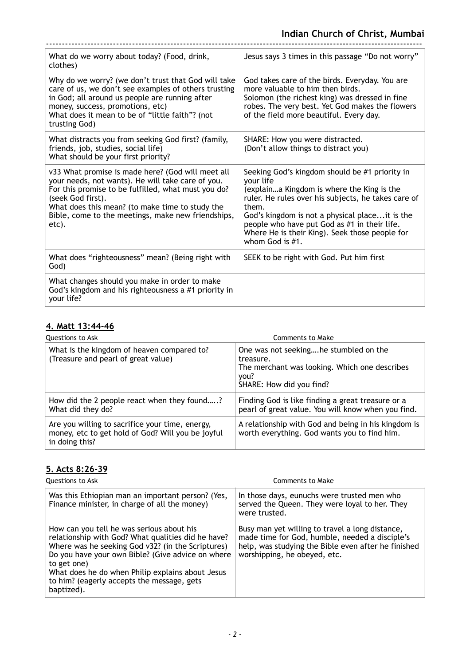| What do we worry about today? (Food, drink,<br>clothes)                                                                                                                                                                                                                                              | Jesus says 3 times in this passage "Do not worry"                                                                                                                                                                                                                                                                                                    |
|------------------------------------------------------------------------------------------------------------------------------------------------------------------------------------------------------------------------------------------------------------------------------------------------------|------------------------------------------------------------------------------------------------------------------------------------------------------------------------------------------------------------------------------------------------------------------------------------------------------------------------------------------------------|
| Why do we worry? (we don't trust that God will take<br>care of us, we don't see examples of others trusting<br>in God; all around us people are running after<br>money, success, promotions, etc)<br>What does it mean to be of "little faith"? (not<br>trusting God)                                | God takes care of the birds. Everyday. You are<br>more valuable to him then birds.<br>Solomon (the richest king) was dressed in fine<br>robes. The very best. Yet God makes the flowers<br>of the field more beautiful. Every day.                                                                                                                   |
| What distracts you from seeking God first? (family,<br>friends, job, studies, social life)<br>What should be your first priority?                                                                                                                                                                    | SHARE: How you were distracted.<br>(Don't allow things to distract you)                                                                                                                                                                                                                                                                              |
| v33 What promise is made here? (God will meet all<br>your needs, not wants). He will take care of you.<br>For this promise to be fulfilled, what must you do?<br>(seek God first).<br>What does this mean? (to make time to study the<br>Bible, come to the meetings, make new friendships,<br>etc). | Seeking God's kingdom should be #1 priority in<br>your life<br>(explaina Kingdom is where the King is the<br>ruler. He rules over his subjects, he takes care of<br>them.<br>God's kingdom is not a physical place it is the<br>people who have put God as #1 in their life.<br>Where He is their King). Seek those people for<br>whom God is $#1$ . |
| What does "righteousness" mean? (Being right with<br>God)                                                                                                                                                                                                                                            | SEEK to be right with God. Put him first                                                                                                                                                                                                                                                                                                             |
| What changes should you make in order to make<br>God's kingdom and his righteousness a #1 priority in<br>your life?                                                                                                                                                                                  |                                                                                                                                                                                                                                                                                                                                                      |

# **4. Matt 13:44-46**

| Questions to Ask                                                                                                       | Comments to Make                                                                                                                        |
|------------------------------------------------------------------------------------------------------------------------|-----------------------------------------------------------------------------------------------------------------------------------------|
| What is the kingdom of heaven compared to?<br>(Treasure and pearl of great value)                                      | One was not seekinghe stumbled on the<br>treasure.<br>The merchant was looking. Which one describes<br>you?<br>SHARE: How did you find? |
| How did the 2 people react when they found?<br>What did they do?                                                       | Finding God is like finding a great treasure or a<br>pearl of great value. You will know when you find.                                 |
| Are you willing to sacrifice your time, energy,<br>money, etc to get hold of God? Will you be joyful<br>in doing this? | A relationship with God and being in his kingdom is<br>worth everything. God wants you to find him.                                     |

### **5. Acts 8:26-39**

| Questions to Ask                                                                                                                                                                                                                                                                                                                         | Comments to Make                                                                                                                                                                         |
|------------------------------------------------------------------------------------------------------------------------------------------------------------------------------------------------------------------------------------------------------------------------------------------------------------------------------------------|------------------------------------------------------------------------------------------------------------------------------------------------------------------------------------------|
| Was this Ethiopian man an important person? (Yes,<br>Finance minister, in charge of all the money)                                                                                                                                                                                                                                       | In those days, eunuchs were trusted men who<br>served the Queen. They were loyal to her. They<br>were trusted.                                                                           |
| How can you tell he was serious about his<br>relationship with God? What qualities did he have?<br>Where was he seeking God v32? (in the Scriptures)<br>Do you have your own Bible? (Give advice on where<br>to get one)<br>What does he do when Philip explains about Jesus<br>to him? (eagerly accepts the message, gets<br>baptized). | Busy man yet willing to travel a long distance,<br>made time for God, humble, needed a disciple's<br>help, was studying the Bible even after he finished<br>worshipping, he obeyed, etc. |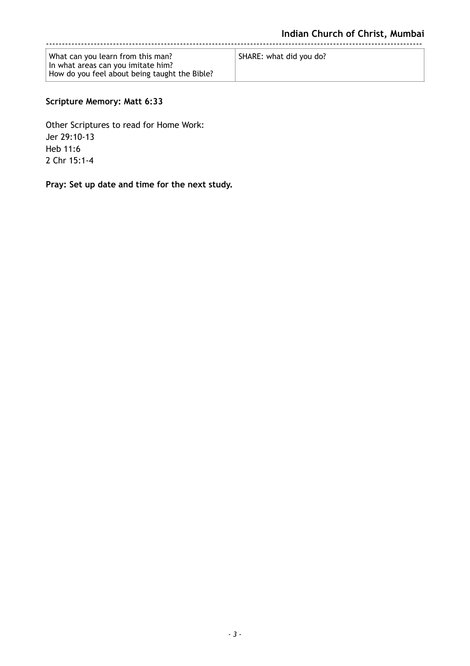| SHARE: what did you do? |
|-------------------------|
|                         |
|                         |

## **Scripture Memory: Matt 6:33**

Other Scriptures to read for Home Work: Jer 29:10-13 Heb 11:6 2 Chr 15:1-4

**Pray: Set up date and time for the next study.**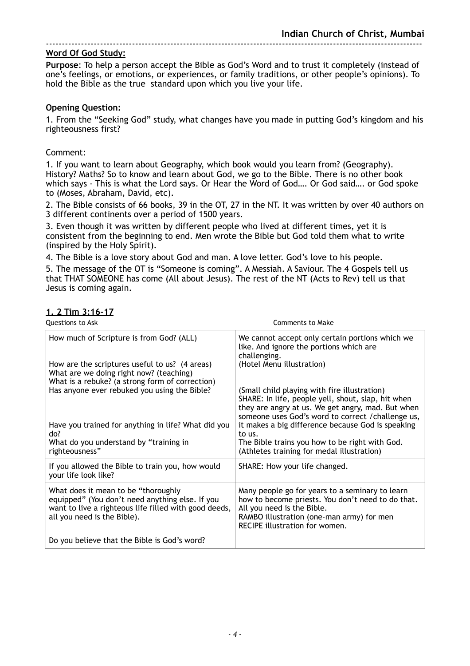**Purpose**: To help a person accept the Bible as God's Word and to trust it completely (instead of one's feelings, or emotions, or experiences, or family traditions, or other people's opinions). To hold the Bible as the true standard upon which you live your life.

#### **Opening Question:**

1. From the "Seeking God" study, what changes have you made in putting God's kingdom and his righteousness first?

#### Comment:

1. If you want to learn about Geography, which book would you learn from? (Geography). History? Maths? So to know and learn about God, we go to the Bible. There is no other book which says - This is what the Lord says. Or Hear the Word of God…. Or God said…. or God spoke to (Moses, Abraham, David, etc).

2. The Bible consists of 66 books, 39 in the OT, 27 in the NT. It was written by over 40 authors on 3 different continents over a period of 1500 years.

3. Even though it was written by different people who lived at different times, yet it is consistent from the beginning to end. Men wrote the Bible but God told them what to write (inspired by the Holy Spirit).

4. The Bible is a love story about God and man. A love letter. God's love to his people.

5. The message of the OT is "Someone is coming". A Messiah. A Saviour. The 4 Gospels tell us that THAT SOMEONE has come (All about Jesus). The rest of the NT (Acts to Rev) tell us that Jesus is coming again.

#### **1. 2 Tim 3:16-17**

| Questions to Ask                                                                                                                                                               | <b>Comments to Make</b>                                                                                                                                                                                           |
|--------------------------------------------------------------------------------------------------------------------------------------------------------------------------------|-------------------------------------------------------------------------------------------------------------------------------------------------------------------------------------------------------------------|
| How much of Scripture is from God? (ALL)<br>How are the scriptures useful to us? (4 areas)<br>What are we doing right now? (teaching)                                          | We cannot accept only certain portions which we<br>like. And ignore the portions which are<br>challenging.<br>(Hotel Menu illustration)                                                                           |
| What is a rebuke? (a strong form of correction)<br>Has anyone ever rebuked you using the Bible?                                                                                | (Small child playing with fire illustration)<br>SHARE: In life, people yell, shout, slap, hit when<br>they are angry at us. We get angry, mad. But when<br>someone uses God's word to correct / challenge us,     |
| Have you trained for anything in life? What did you<br>do?<br>What do you understand by "training in<br>righteousness"                                                         | it makes a big difference because God is speaking<br>to us.<br>The Bible trains you how to be right with God.<br>(Athletes training for medal illustration)                                                       |
| If you allowed the Bible to train you, how would<br>your life look like?                                                                                                       | SHARE: How your life changed.                                                                                                                                                                                     |
| What does it mean to be "thoroughly<br>equipped" (You don't need anything else. If you<br>want to live a righteous life filled with good deeds,<br>all you need is the Bible). | Many people go for years to a seminary to learn<br>how to become priests. You don't need to do that.<br>All you need is the Bible.<br>RAMBO illustration (one-man army) for men<br>RECIPE illustration for women. |
| Do you believe that the Bible is God's word?                                                                                                                                   |                                                                                                                                                                                                                   |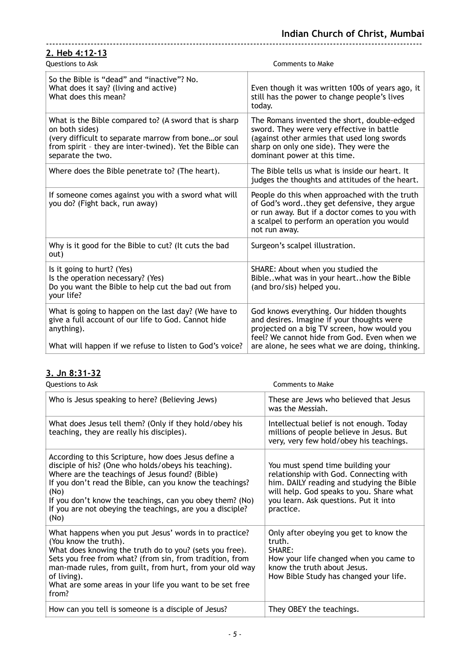| 2. Heb 4:12-13                                                                                                                                                                                                 |                                                                                                                                                                                                                                          |
|----------------------------------------------------------------------------------------------------------------------------------------------------------------------------------------------------------------|------------------------------------------------------------------------------------------------------------------------------------------------------------------------------------------------------------------------------------------|
| Questions to Ask                                                                                                                                                                                               | <b>Comments to Make</b>                                                                                                                                                                                                                  |
| So the Bible is "dead" and "inactive"? No.<br>What does it say? (living and active)<br>What does this mean?                                                                                                    | Even though it was written 100s of years ago, it<br>still has the power to change people's lives<br>today.                                                                                                                               |
| What is the Bible compared to? (A sword that is sharp<br>on both sides)<br>(very difficult to separate marrow from boneor soul<br>from spirit - they are inter-twined). Yet the Bible can<br>separate the two. | The Romans invented the short, double-edged<br>sword. They were very effective in battle<br>(against other armies that used long swords<br>sharp on only one side). They were the<br>dominant power at this time.                        |
| Where does the Bible penetrate to? (The heart).                                                                                                                                                                | The Bible tells us what is inside our heart. It<br>judges the thoughts and attitudes of the heart.                                                                                                                                       |
| If someone comes against you with a sword what will<br>you do? (Fight back, run away)                                                                                                                          | People do this when approached with the truth<br>of God's wordthey get defensive, they argue<br>or run away. But if a doctor comes to you with<br>a scalpel to perform an operation you would<br>not run away.                           |
| Why is it good for the Bible to cut? (It cuts the bad<br>out)                                                                                                                                                  | Surgeon's scalpel illustration.                                                                                                                                                                                                          |
| Is it going to hurt? (Yes)<br>Is the operation necessary? (Yes)<br>Do you want the Bible to help cut the bad out from<br>your life?                                                                            | SHARE: About when you studied the<br>Biblewhat was in your hearthow the Bible<br>(and bro/sis) helped you.                                                                                                                               |
| What is going to happen on the last day? (We have to<br>give a full account of our life to God. Cannot hide<br>anything).<br>What will happen if we refuse to listen to God's voice?                           | God knows everything. Our hidden thoughts<br>and desires. Imagine if your thoughts were<br>projected on a big TV screen, how would you<br>feel? We cannot hide from God. Even when we<br>are alone, he sees what we are doing, thinking. |

#### **3. Jn 8:31-32**

**Questions to Ask** Comments to Make

| Who is Jesus speaking to here? (Believing Jews)                                                                                                                                                                                                                                                                                                                      | These are Jews who believed that Jesus<br>was the Messiah.                                                                                                                                                                 |
|----------------------------------------------------------------------------------------------------------------------------------------------------------------------------------------------------------------------------------------------------------------------------------------------------------------------------------------------------------------------|----------------------------------------------------------------------------------------------------------------------------------------------------------------------------------------------------------------------------|
| What does Jesus tell them? (Only if they hold/obey his<br>teaching, they are really his disciples).                                                                                                                                                                                                                                                                  | Intellectual belief is not enough. Today<br>millions of people believe in Jesus. But<br>very, very few hold/obey his teachings.                                                                                            |
| According to this Scripture, how does Jesus define a<br>disciple of his? (One who holds/obeys his teaching).<br>Where are the teachings of Jesus found? (Bible)<br>If you don't read the Bible, can you know the teachings?<br>(No)<br>If you don't know the teachings, can you obey them? (No)<br>If you are not obeying the teachings, are you a disciple?<br>(No) | You must spend time building your<br>relationship with God. Connecting with<br>him. DAILY reading and studying the Bible<br>will help. God speaks to you. Share what<br>you learn. Ask questions. Put it into<br>practice. |
| What happens when you put Jesus' words in to practice?<br>(You know the truth).<br>What does knowing the truth do to you? (sets you free).<br>Sets you free from what? (from sin, from tradition, from<br>man-made rules, from guilt, from hurt, from your old way<br>of living).<br>What are some areas in your life you want to be set free<br>from?               | Only after obeying you get to know the<br>truth.<br>SHARE:<br>How your life changed when you came to<br>know the truth about Jesus.<br>How Bible Study has changed your life.                                              |
| How can you tell is someone is a disciple of Jesus?                                                                                                                                                                                                                                                                                                                  | They OBEY the teachings.                                                                                                                                                                                                   |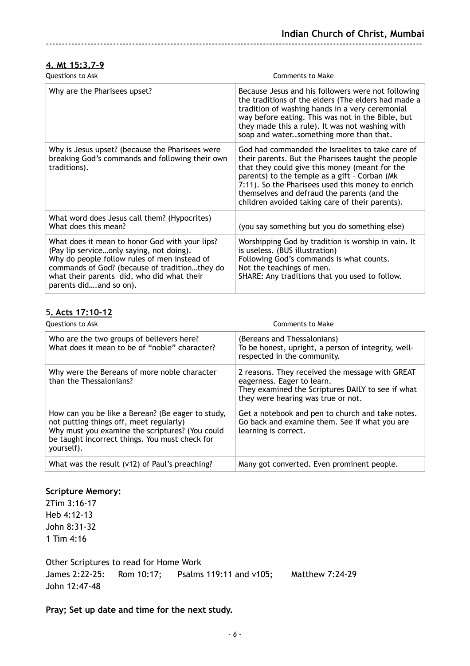#### **4. Mt 15:3,7-9**

| <b>Questions to Ask</b>                                                                                                                                                                                                                                             | <b>Comments to Make</b>                                                                                                                                                                                                                                                                                                                                          |
|---------------------------------------------------------------------------------------------------------------------------------------------------------------------------------------------------------------------------------------------------------------------|------------------------------------------------------------------------------------------------------------------------------------------------------------------------------------------------------------------------------------------------------------------------------------------------------------------------------------------------------------------|
| Why are the Pharisees upset?                                                                                                                                                                                                                                        | Because Jesus and his followers were not following<br>the traditions of the elders (The elders had made a<br>tradition of washing hands in a very ceremonial<br>way before eating. This was not in the Bible, but<br>they made this a rule). It was not washing with<br>soap and watersomething more than that.                                                  |
| Why is Jesus upset? (because the Pharisees were<br>breaking God's commands and following their own<br>traditions).                                                                                                                                                  | God had commanded the Israelites to take care of<br>their parents. But the Pharisees taught the people<br>that they could give this money (meant for the<br>parents) to the temple as a gift - Corban (Mk<br>7:11). So the Pharisees used this money to enrich<br>themselves and defraud the parents (and the<br>children avoided taking care of their parents). |
| What word does Jesus call them? (Hypocrites)<br>What does this mean?                                                                                                                                                                                                | (you say something but you do something else)                                                                                                                                                                                                                                                                                                                    |
| What does it mean to honor God with your lips?<br>(Pay lip serviceonly saying, not doing).<br>Why do people follow rules of men instead of<br>commands of God? (because of traditionthey do<br>what their parents did, who did what their<br>parents didand so on). | Worshipping God by tradition is worship in vain. It<br>is useless. (BUS illustration)<br>Following God's commands is what counts.<br>Not the teachings of men.<br>SHARE: Any traditions that you used to follow.                                                                                                                                                 |

## 5**. Acts 17:10-12**

| Questions to Ask                                                                                                                                                                                                | Comments to Make                                                                                                                                                         |
|-----------------------------------------------------------------------------------------------------------------------------------------------------------------------------------------------------------------|--------------------------------------------------------------------------------------------------------------------------------------------------------------------------|
| Who are the two groups of believers here?<br>What does it mean to be of "noble" character?                                                                                                                      | (Bereans and Thessalonians)<br>To be honest, upright, a person of integrity, well-<br>respected in the community.                                                        |
| Why were the Bereans of more noble character<br>than the Thessalonians?                                                                                                                                         | 2 reasons. They received the message with GREAT<br>eagerness. Eager to learn.<br>They examined the Scriptures DAILY to see if what<br>they were hearing was true or not. |
| How can you be like a Berean? (Be eager to study,<br>not putting things off, meet regularly)<br>Why must you examine the scriptures? (You could<br>be taught incorrect things. You must check for<br>yourself). | Get a notebook and pen to church and take notes.<br>Go back and examine them. See if what you are<br>learning is correct.                                                |
| What was the result (v12) of Paul's preaching?                                                                                                                                                                  | Many got converted. Even prominent people.                                                                                                                               |

#### **Scripture Memory:**

2Tim 3:16-17 Heb 4:12-13 John 8:31-32 1 Tim 4:16

Other Scriptures to read for Home Work James 2:22-25: Rom 10:17; Psalms 119:11 and v105; Matthew 7:24-29 John 12:47-48

**Pray; Set up date and time for the next study.**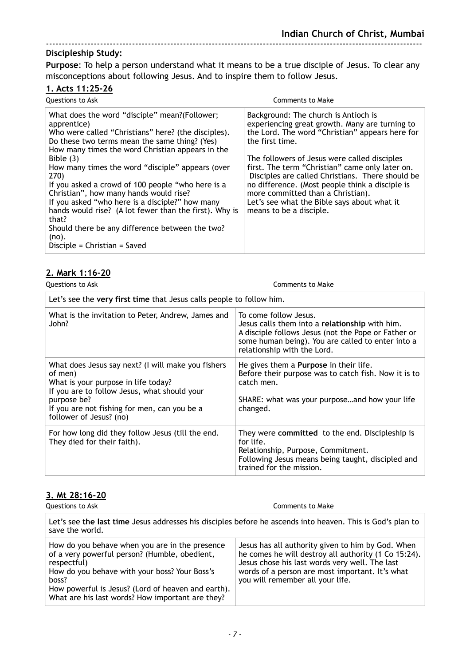### **Discipleship Study:**

**Purpose**: To help a person understand what it means to be a true disciple of Jesus. To clear any misconceptions about following Jesus. And to inspire them to follow Jesus.

----------------------------------------------------------------------------------------------------------------------

## **1. Acts 11:25-26**

| Questions to Ask                                                                                                                                                                                                                                                                                                                                                                                                                                                                                                                                                                                                     | <b>Comments to Make</b>                                                                                                                                                                                                                                                                                                                                                                                                                                                               |
|----------------------------------------------------------------------------------------------------------------------------------------------------------------------------------------------------------------------------------------------------------------------------------------------------------------------------------------------------------------------------------------------------------------------------------------------------------------------------------------------------------------------------------------------------------------------------------------------------------------------|---------------------------------------------------------------------------------------------------------------------------------------------------------------------------------------------------------------------------------------------------------------------------------------------------------------------------------------------------------------------------------------------------------------------------------------------------------------------------------------|
| What does the word "disciple" mean?(Follower;<br>apprentice)<br>Who were called "Christians" here? (the disciples).<br>Do these two terms mean the same thing? (Yes)<br>How many times the word Christian appears in the<br>Bible $(3)$<br>How many times the word "disciple" appears (over<br>270)<br>If you asked a crowd of 100 people "who here is a<br>Christian", how many hands would rise?<br>If you asked "who here is a disciple?" how many<br>hands would rise? (A lot fewer than the first). Why is<br>that?<br>Should there be any difference between the two?<br>(no).<br>Disciple = Christian = Saved | Background: The church is Antioch is<br>experiencing great growth. Many are turning to<br>the Lord. The word "Christian" appears here for<br>the first time.<br>The followers of Jesus were called disciples<br>first. The term "Christian" came only later on.<br>Disciples are called Christians. There should be<br>no difference. (Most people think a disciple is<br>more committed than a Christian).<br>Let's see what the Bible says about what it<br>means to be a disciple. |

#### **2. Mark 1:16-20**

| Questions to Ask                                                                                                                                                                                                                               | Comments to Make                                                                                                                                                                                                   |  |
|------------------------------------------------------------------------------------------------------------------------------------------------------------------------------------------------------------------------------------------------|--------------------------------------------------------------------------------------------------------------------------------------------------------------------------------------------------------------------|--|
| Let's see the very first time that Jesus calls people to follow him.                                                                                                                                                                           |                                                                                                                                                                                                                    |  |
| What is the invitation to Peter, Andrew, James and<br>John?                                                                                                                                                                                    | To come follow Jesus.<br>Jesus calls them into a relationship with him.<br>A disciple follows Jesus (not the Pope or Father or<br>some human being). You are called to enter into a<br>relationship with the Lord. |  |
| What does Jesus say next? (I will make you fishers<br>of men)<br>What is your purpose in life today?<br>If you are to follow Jesus, what should your<br>purpose be?<br>If you are not fishing for men, can you be a<br>follower of Jesus? (no) | He gives them a <b>Purpose</b> in their life.<br>Before their purpose was to catch fish. Now it is to<br>catch men.<br>SHARE: what was your purposeand how your life<br>changed.                                   |  |
| For how long did they follow Jesus (till the end.<br>They died for their faith).                                                                                                                                                               | They were committed to the end. Discipleship is<br>for life.<br>Relationship, Purpose, Commitment.<br>Following Jesus means being taught, discipled and<br>trained for the mission.                                |  |

# **3. Mt 28:16-20**

| 3. Mt 28:16-20<br>Questions to Ask                                                                                                                                                                                                                                                 | Comments to Make                                                                                                                                                                                                                                   |
|------------------------------------------------------------------------------------------------------------------------------------------------------------------------------------------------------------------------------------------------------------------------------------|----------------------------------------------------------------------------------------------------------------------------------------------------------------------------------------------------------------------------------------------------|
| Let's see the last time Jesus addresses his disciples before he ascends into heaven. This is God's plan to<br>save the world.                                                                                                                                                      |                                                                                                                                                                                                                                                    |
| How do you behave when you are in the presence<br>of a very powerful person? (Humble, obedient,<br>respectful)<br>How do you behave with your boss? Your Boss's<br>boss?<br>How powerful is Jesus? (Lord of heaven and earth).<br>What are his last words? How important are they? | Jesus has all authority given to him by God. When<br>he comes he will destroy all authority (1 Co 15:24).<br>Jesus chose his last words very well. The last<br>words of a person are most important. It's what<br>you will remember all your life. |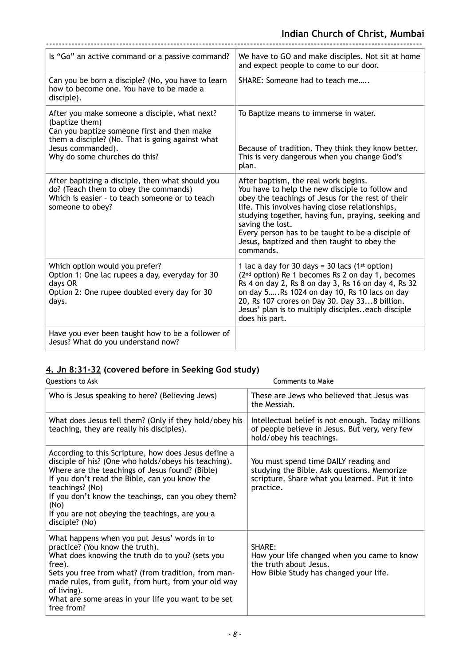| Is "Go" an active command or a passive command?                                                                                                                                                                          | We have to GO and make disciples. Not sit at home<br>and expect people to come to our door.                                                                                                                                                                                                                                                                                                 |
|--------------------------------------------------------------------------------------------------------------------------------------------------------------------------------------------------------------------------|---------------------------------------------------------------------------------------------------------------------------------------------------------------------------------------------------------------------------------------------------------------------------------------------------------------------------------------------------------------------------------------------|
| Can you be born a disciple? (No, you have to learn<br>how to become one. You have to be made a<br>disciple).                                                                                                             | SHARE: Someone had to teach me                                                                                                                                                                                                                                                                                                                                                              |
| After you make someone a disciple, what next?<br>(baptize them)<br>Can you baptize someone first and then make<br>them a disciple? (No. That is going against what<br>Jesus commanded).<br>Why do some churches do this? | To Baptize means to immerse in water.<br>Because of tradition. They think they know better.<br>This is very dangerous when you change God's<br>plan.                                                                                                                                                                                                                                        |
| After baptizing a disciple, then what should you<br>do? (Teach them to obey the commands)<br>Which is easier - to teach someone or to teach<br>someone to obey?                                                          | After baptism, the real work begins.<br>You have to help the new disciple to follow and<br>obey the teachings of Jesus for the rest of their<br>life. This involves having close relationships,<br>studying together, having fun, praying, seeking and<br>saving the lost.<br>Every person has to be taught to be a disciple of<br>Jesus, baptized and then taught to obey the<br>commands. |
| Which option would you prefer?<br>Option 1: One lac rupees a day, everyday for 30<br>days OR<br>Option 2: One rupee doubled every day for 30<br>days.                                                                    | 1 lac a day for 30 days = 30 lacs (1 <sup>st</sup> option)<br>(2 <sup>nd</sup> option) Re 1 becomes Rs 2 on day 1, becomes<br>Rs 4 on day 2, Rs 8 on day 3, Rs 16 on day 4, Rs 32<br>on day 5, Rs 1024 on day 10, Rs 10 lacs on day<br>20, Rs 107 crores on Day 30. Day 338 billion.<br>Jesus' plan is to multiply discipleseach disciple<br>does his part.                                 |
| Have you ever been taught how to be a follower of<br>Jesus? What do you understand now?                                                                                                                                  |                                                                                                                                                                                                                                                                                                                                                                                             |

# **4. Jn 8:31-32 (covered before in Seeking God study)**

| Questions to Ask                                                                                                                                                                                                                                                                                                                                                        | <b>Comments to Make</b>                                                                                                                             |
|-------------------------------------------------------------------------------------------------------------------------------------------------------------------------------------------------------------------------------------------------------------------------------------------------------------------------------------------------------------------------|-----------------------------------------------------------------------------------------------------------------------------------------------------|
| Who is Jesus speaking to here? (Believing Jews)                                                                                                                                                                                                                                                                                                                         | These are Jews who believed that Jesus was<br>the Messiah.                                                                                          |
| What does Jesus tell them? (Only if they hold/obey his<br>teaching, they are really his disciples).                                                                                                                                                                                                                                                                     | Intellectual belief is not enough. Today millions<br>of people believe in Jesus. But very, very few<br>hold/obey his teachings.                     |
| According to this Scripture, how does Jesus define a<br>disciple of his? (One who holds/obeys his teaching).<br>Where are the teachings of Jesus found? (Bible)<br>If you don't read the Bible, can you know the<br>teachings? (No)<br>If you don't know the teachings, can you obey them?<br>(No)<br>If you are not obeying the teachings, are you a<br>disciple? (No) | You must spend time DAILY reading and<br>studying the Bible. Ask questions. Memorize<br>scripture. Share what you learned. Put it into<br>practice. |
| What happens when you put Jesus' words in to<br>practice? (You know the truth).<br>What does knowing the truth do to you? (sets you<br>free).<br>Sets you free from what? (from tradition, from man-<br>made rules, from guilt, from hurt, from your old way<br>of living).<br>What are some areas in your life you want to be set<br>free from?                        | SHARE:<br>How your life changed when you came to know<br>the truth about Jesus.<br>How Bible Study has changed your life.                           |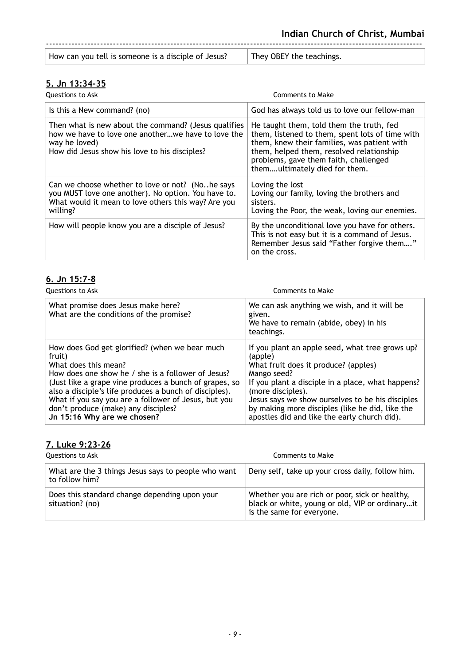| How can you tell is someone is a disciple of Jesus? | They OBEY the teachings. |
|-----------------------------------------------------|--------------------------|
|                                                     |                          |

## **5. Jn 13:34-35**

| Questions to Ask                                                                                                                                                             | Comments to Make                                                                                                                                                                                                                                                 |
|------------------------------------------------------------------------------------------------------------------------------------------------------------------------------|------------------------------------------------------------------------------------------------------------------------------------------------------------------------------------------------------------------------------------------------------------------|
| Is this a New command? (no)                                                                                                                                                  | God has always told us to love our fellow-man                                                                                                                                                                                                                    |
| Then what is new about the command? (Jesus qualifies<br>how we have to love one anotherwe have to love the<br>way he loved)<br>How did Jesus show his love to his disciples? | He taught them, told them the truth, fed<br>them, listened to them, spent lots of time with<br>them, knew their families, was patient with<br>them, helped them, resolved relationship<br>problems, gave them faith, challenged<br>themultimately died for them. |
| Can we choose whether to love or not? (Nohe says<br>you MUST love one another). No option. You have to.<br>What would it mean to love others this way? Are you<br>willing?   | Loving the lost<br>Loving our family, loving the brothers and<br>sisters.<br>Loving the Poor, the weak, loving our enemies.                                                                                                                                      |
| How will people know you are a disciple of Jesus?                                                                                                                            | By the unconditional love you have for others.<br>This is not easy but it is a command of Jesus.<br>Remember Jesus said "Father forgive them"<br>on the cross.                                                                                                   |

## **6. Jn 15:7-8**

| <b>Questions to Ask</b>                                                                                                                                                                                                                                                                                                                                                                  | Comments to Make                                                                                                                                                                                                                                                                                                                                   |
|------------------------------------------------------------------------------------------------------------------------------------------------------------------------------------------------------------------------------------------------------------------------------------------------------------------------------------------------------------------------------------------|----------------------------------------------------------------------------------------------------------------------------------------------------------------------------------------------------------------------------------------------------------------------------------------------------------------------------------------------------|
| What promise does Jesus make here?<br>What are the conditions of the promise?                                                                                                                                                                                                                                                                                                            | We can ask anything we wish, and it will be<br>given.<br>We have to remain (abide, obey) in his<br>teachings.                                                                                                                                                                                                                                      |
| How does God get glorified? (when we bear much<br>fruit)<br>What does this mean?<br>How does one show he / she is a follower of Jesus?<br>(Just like a grape vine produces a bunch of grapes, so<br>also a disciple's life produces a bunch of disciples).<br>What if you say you are a follower of Jesus, but you<br>don't produce (make) any disciples?<br>Jn 15:16 Why are we chosen? | If you plant an apple seed, what tree grows up?<br>(apple)<br>What fruit does it produce? (apples)<br>Mango seed?<br>If you plant a disciple in a place, what happens?<br>(more disciples).<br>Jesus says we show ourselves to be his disciples<br>by making more disciples (like he did, like the<br>apostles did and like the early church did). |

# **7. Luke 9:23-26**

| Questions to Ask                                                      | Comments to Make                                                                                                               |
|-----------------------------------------------------------------------|--------------------------------------------------------------------------------------------------------------------------------|
| What are the 3 things Jesus says to people who want<br>to follow him? | Deny self, take up your cross daily, follow him.                                                                               |
| Does this standard change depending upon your<br>situation? (no)      | Whether you are rich or poor, sick or healthy,<br>black or white, young or old, VIP or ordinaryit<br>is the same for everyone. |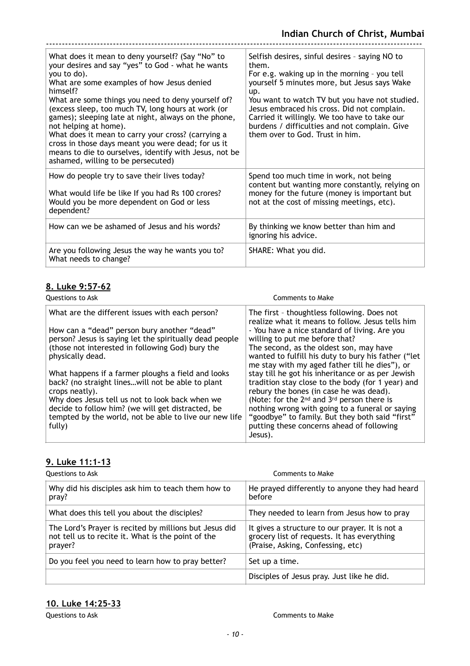| What does it mean to deny yourself? (Say "No" to<br>your desires and say "yes" to God - what he wants<br>you to do).<br>What are some examples of how Jesus denied<br>himself?<br>What are some things you need to deny yourself of?<br>(excess sleep, too much TV, long hours at work (or<br>games); sleeping late at night, always on the phone,<br>not helping at home).<br>What does it mean to carry your cross? (carrying a<br>cross in those days meant you were dead; for us it<br>means to die to ourselves, identify with Jesus, not be<br>ashamed, willing to be persecuted) | Selfish desires, sinful desires - saying NO to<br>them.<br>For e.g. waking up in the morning - you tell<br>yourself 5 minutes more, but Jesus says Wake<br>up.<br>You want to watch TV but you have not studied.<br>Jesus embraced his cross. Did not complain.<br>Carried it willingly. We too have to take our<br>burdens / difficulties and not complain. Give<br>them over to God. Trust in him. |
|-----------------------------------------------------------------------------------------------------------------------------------------------------------------------------------------------------------------------------------------------------------------------------------------------------------------------------------------------------------------------------------------------------------------------------------------------------------------------------------------------------------------------------------------------------------------------------------------|------------------------------------------------------------------------------------------------------------------------------------------------------------------------------------------------------------------------------------------------------------------------------------------------------------------------------------------------------------------------------------------------------|
| How do people try to save their lives today?<br>What would life be like If you had Rs 100 crores?<br>Would you be more dependent on God or less<br>dependent?                                                                                                                                                                                                                                                                                                                                                                                                                           | Spend too much time in work, not being<br>content but wanting more constantly, relying on<br>money for the future (money is important but<br>not at the cost of missing meetings, etc).                                                                                                                                                                                                              |
| How can we be ashamed of Jesus and his words?                                                                                                                                                                                                                                                                                                                                                                                                                                                                                                                                           | By thinking we know better than him and<br>ignoring his advice.                                                                                                                                                                                                                                                                                                                                      |
| Are you following Jesus the way he wants you to?<br>What needs to change?                                                                                                                                                                                                                                                                                                                                                                                                                                                                                                               | SHARE: What you did.                                                                                                                                                                                                                                                                                                                                                                                 |

## **8. Luke 9:57-62**

| <b>Questions to Ask</b>                                                                                                                                                  | Comments to Make                                                                                                                                                                                                                 |
|--------------------------------------------------------------------------------------------------------------------------------------------------------------------------|----------------------------------------------------------------------------------------------------------------------------------------------------------------------------------------------------------------------------------|
| What are the different issues with each person?                                                                                                                          | The first - thoughtless following. Does not<br>realize what it means to follow. Jesus tells him                                                                                                                                  |
| How can a "dead" person bury another "dead"<br>person? Jesus is saying let the spiritually dead people                                                                   | - You have a nice standard of living. Are you<br>willing to put me before that?                                                                                                                                                  |
| (those not interested in following God) bury the<br>physically dead.                                                                                                     | The second, as the oldest son, may have<br>wanted to fulfill his duty to bury his father ("let<br>me stay with my aged father till he dies"), or                                                                                 |
| What happens if a farmer ploughs a field and looks<br>back? (no straight lineswill not be able to plant<br>crops neatly).                                                | stay till he got his inheritance or as per Jewish<br>tradition stay close to the body (for 1 year) and<br>rebury the bones (in case he was dead).                                                                                |
| Why does Jesus tell us not to look back when we<br>decide to follow him? (we will get distracted, be<br>tempted by the world, not be able to live our new life<br>fully) | (Note: for the 2 <sup>nd</sup> and 3 <sup>rd</sup> person there is<br>nothing wrong with going to a funeral or saying<br>"goodbye" to family. But they both said "first"<br>putting these concerns ahead of following<br>Jesus). |

### **9. Luke 11:1-13**

| Questions to Ask                                                                                                        | Comments to Make                                                                                                                    |
|-------------------------------------------------------------------------------------------------------------------------|-------------------------------------------------------------------------------------------------------------------------------------|
| Why did his disciples ask him to teach them how to<br>pray?                                                             | He prayed differently to anyone they had heard<br>before                                                                            |
| What does this tell you about the disciples?                                                                            | They needed to learn from Jesus how to pray                                                                                         |
| The Lord's Prayer is recited by millions but Jesus did<br>not tell us to recite it. What is the point of the<br>prayer? | It gives a structure to our prayer. It is not a<br>grocery list of requests. It has everything<br>(Praise, Asking, Confessing, etc) |
| Do you feel you need to learn how to pray better?                                                                       | Set up a time.                                                                                                                      |
|                                                                                                                         | Disciples of Jesus pray. Just like he did.                                                                                          |

## **10. Luke 14:25-33**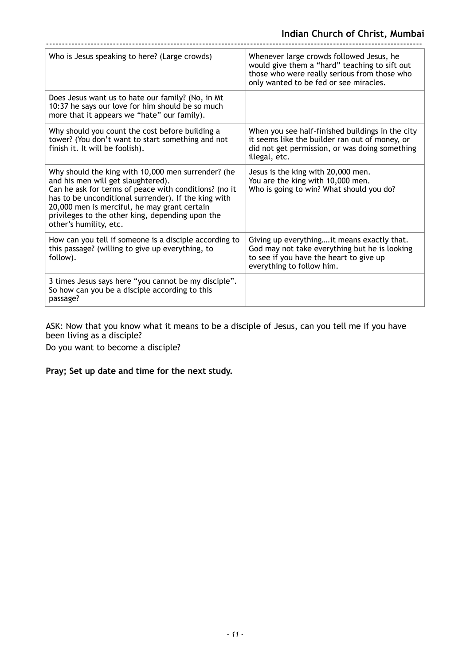| Who is Jesus speaking to here? (Large crowds)                                                                                                                                                                                                                                                                                           | Whenever large crowds followed Jesus, he<br>would give them a "hard" teaching to sift out<br>those who were really serious from those who<br>only wanted to be fed or see miracles. |
|-----------------------------------------------------------------------------------------------------------------------------------------------------------------------------------------------------------------------------------------------------------------------------------------------------------------------------------------|-------------------------------------------------------------------------------------------------------------------------------------------------------------------------------------|
| Does Jesus want us to hate our family? (No, in Mt<br>10:37 he says our love for him should be so much<br>more that it appears we "hate" our family).                                                                                                                                                                                    |                                                                                                                                                                                     |
| Why should you count the cost before building a<br>tower? (You don't want to start something and not<br>finish it. It will be foolish).                                                                                                                                                                                                 | When you see half-finished buildings in the city<br>it seems like the builder ran out of money, or<br>did not get permission, or was doing something<br>illegal, etc.               |
| Why should the king with 10,000 men surrender? (he<br>and his men will get slaughtered).<br>Can he ask for terms of peace with conditions? (no it<br>has to be unconditional surrender). If the king with<br>20,000 men is merciful, he may grant certain<br>privileges to the other king, depending upon the<br>other's humility, etc. | Jesus is the king with 20,000 men.<br>You are the king with 10,000 men.<br>Who is going to win? What should you do?                                                                 |
| How can you tell if someone is a disciple according to<br>this passage? (willing to give up everything, to<br>follow).                                                                                                                                                                                                                  | Giving up everything it means exactly that.<br>God may not take everything but he is looking<br>to see if you have the heart to give up<br>everything to follow him.                |
| 3 times Jesus says here "you cannot be my disciple".<br>So how can you be a disciple according to this<br>passage?                                                                                                                                                                                                                      |                                                                                                                                                                                     |

ASK: Now that you know what it means to be a disciple of Jesus, can you tell me if you have been living as a disciple?

Do you want to become a disciple?

**Pray; Set up date and time for the next study.**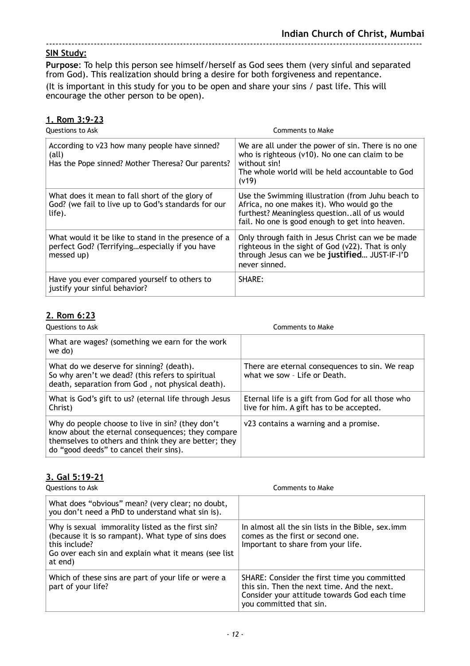### **SIN Study:**

**Purpose**: To help this person see himself/herself as God sees them (very sinful and separated from God). This realization should bring a desire for both forgiveness and repentance. (It is important in this study for you to be open and share your sins / past life. This will encourage the other person to be open).

## **1. Rom 3:9-23**

| Questions to Ask                                                                                                     | Comments to Make                                                                                                                                                                                    |
|----------------------------------------------------------------------------------------------------------------------|-----------------------------------------------------------------------------------------------------------------------------------------------------------------------------------------------------|
| According to v23 how many people have sinned?<br>$\text{(all)}$<br>Has the Pope sinned? Mother Theresa? Our parents? | We are all under the power of sin. There is no one<br>who is righteous (v10). No one can claim to be<br>without sin!<br>The whole world will be held accountable to God<br>(v19)                    |
| What does it mean to fall short of the glory of<br>God? (we fail to live up to God's standards for our<br>life).     | Use the Swimming illustration (from Juhu beach to<br>Africa, no one makes it). Who would go the<br>furthest? Meaningless questionall of us would<br>fail. No one is good enough to get into heaven. |
| What would it be like to stand in the presence of a<br>perfect God? (Terrifyingespecially if you have<br>messed up)  | Only through faith in Jesus Christ can we be made<br>righteous in the sight of God (v22). That is only<br>through Jesus can we be justified JUST-IF-I'D<br>never sinned.                            |
| Have you ever compared yourself to others to<br>justify your sinful behavior?                                        | <b>SHARE:</b>                                                                                                                                                                                       |

#### **2. Rom 6:23**

| Questions to Ask                                                                                                                                                                                        | Comments to Make                                                                              |
|---------------------------------------------------------------------------------------------------------------------------------------------------------------------------------------------------------|-----------------------------------------------------------------------------------------------|
| What are wages? (something we earn for the work<br>we do)                                                                                                                                               |                                                                                               |
| What do we deserve for sinning? (death).<br>So why aren't we dead? (this refers to spiritual<br>death, separation from God, not physical death).                                                        | There are eternal consequences to sin. We reap<br>what we sow - Life or Death.                |
| What is God's gift to us? (eternal life through Jesus<br>Christ)                                                                                                                                        | Eternal life is a gift from God for all those who<br>live for him. A gift has to be accepted. |
| Why do people choose to live in sin? (they don't<br>know about the eternal consequences; they compare<br>themselves to others and think they are better; they<br>do "good deeds" to cancel their sins). | v23 contains a warning and a promise.                                                         |

## **3. Gal 5:19-21**

**Questions to Ask** Comments to Make

| What does "obvious" mean? (very clear; no doubt,<br>you don't need a PhD to understand what sin is).                                                                                        |                                                                                                                                                                        |
|---------------------------------------------------------------------------------------------------------------------------------------------------------------------------------------------|------------------------------------------------------------------------------------------------------------------------------------------------------------------------|
| Why is sexual immorality listed as the first sin?<br>(because it is so rampant). What type of sins does<br>this include?<br>Go over each sin and explain what it means (see list<br>at end) | In almost all the sin lists in the Bible, sex.imm<br>comes as the first or second one.<br>Important to share from your life.                                           |
| Which of these sins are part of your life or were a<br>part of your life?                                                                                                                   | SHARE: Consider the first time you committed<br>this sin. Then the next time. And the next.<br>Consider your attitude towards God each time<br>you committed that sin. |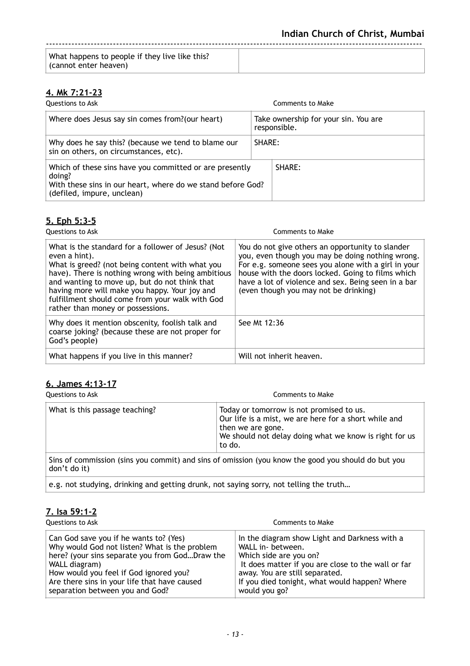| What happens to people if they live like this?<br>(cannot enter heaven) |  |
|-------------------------------------------------------------------------|--|

## **4. Mk 7:21-23**

| Questions to Ask                                                                                                                                               |        | Comments to Make                                     |
|----------------------------------------------------------------------------------------------------------------------------------------------------------------|--------|------------------------------------------------------|
| Where does Jesus say sin comes from?(our heart)                                                                                                                |        | Take ownership for your sin. You are<br>responsible. |
| Why does he say this? (because we tend to blame our<br>sin on others, on circumstances, etc).                                                                  | SHARE: |                                                      |
| Which of these sins have you committed or are presently<br>doing?<br>With these sins in our heart, where do we stand before God?<br>(defiled, impure, unclean) |        | SHARE:                                               |

## **5. Eph 5:3-5**

| Questions to Ask                                                                                                                                                                                                                                                                                                                                                       | Comments to Make                                                                                                                                                                                                                                                                                                 |
|------------------------------------------------------------------------------------------------------------------------------------------------------------------------------------------------------------------------------------------------------------------------------------------------------------------------------------------------------------------------|------------------------------------------------------------------------------------------------------------------------------------------------------------------------------------------------------------------------------------------------------------------------------------------------------------------|
| What is the standard for a follower of Jesus? (Not<br>even a hint).<br>What is greed? (not being content with what you<br>have). There is nothing wrong with being ambitious<br>and wanting to move up, but do not think that<br>having more will make you happy. Your joy and<br>fulfillment should come from your walk with God<br>rather than money or possessions. | You do not give others an opportunity to slander<br>you, even though you may be doing nothing wrong.<br>For e.g. someone sees you alone with a girl in your<br>house with the doors locked. Going to films which<br>have a lot of violence and sex. Being seen in a bar<br>(even though you may not be drinking) |
| Why does it mention obscenity, foolish talk and<br>coarse joking? (because these are not proper for<br>God's people)                                                                                                                                                                                                                                                   | See Mt 12:36                                                                                                                                                                                                                                                                                                     |
| What happens if you live in this manner?                                                                                                                                                                                                                                                                                                                               | Will not inherit heaven.                                                                                                                                                                                                                                                                                         |

## **6. James 4:13-17**

| Questions to Ask               | Comments to Make                                                                                                                                                                           |
|--------------------------------|--------------------------------------------------------------------------------------------------------------------------------------------------------------------------------------------|
| What is this passage teaching? | Today or tomorrow is not promised to us.<br>Our life is a mist, we are here for a short while and<br>then we are gone.<br>We should not delay doing what we know is right for us<br>to do. |
| don't do it)                   | Sins of commission (sins you commit) and sins of omission (you know the good you should do but you                                                                                         |

e.g. not studying, drinking and getting drunk, not saying sorry, not telling the truth…

## **7. Isa 59:1-2**

| Questions to Ask                               | Comments to Make                                   |
|------------------------------------------------|----------------------------------------------------|
| Can God save you if he wants to? (Yes)         | In the diagram show Light and Darkness with a      |
| Why would God not listen? What is the problem  | WALL in- between.                                  |
| here? (your sins separate you from GodDraw the | Which side are you on?                             |
| WALL diagram)                                  | It does matter if you are close to the wall or far |
| How would you feel if God ignored you?         | away. You are still separated.                     |
| Are there sins in your life that have caused   | If you died tonight, what would happen? Where      |
| separation between you and God?                | would you go?                                      |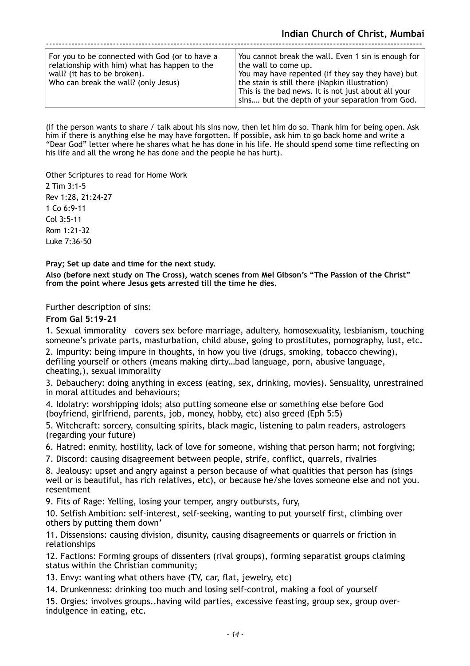| For you to be connected with God (or to have a<br>relationship with him) what has happen to the<br>wall? (it has to be broken).<br>Who can break the wall? (only Jesus) | You cannot break the wall. Even 1 sin is enough for<br>the wall to come up.<br>You may have repented (if they say they have) but<br>the stain is still there (Napkin illustration)<br>This is the bad news. It is not just about all your<br>sins but the depth of your separation from God. |
|-------------------------------------------------------------------------------------------------------------------------------------------------------------------------|----------------------------------------------------------------------------------------------------------------------------------------------------------------------------------------------------------------------------------------------------------------------------------------------|

(If the person wants to share / talk about his sins now, then let him do so. Thank him for being open. Ask him if there is anything else he may have forgotten. If possible, ask him to go back home and write a "Dear God" letter where he shares what he has done in his life. He should spend some time reflecting on his life and all the wrong he has done and the people he has hurt).

Other Scriptures to read for Home Work

2 Tim 3:1-5 Rev 1:28, 21:24-27 1 Co 6:9-11 Col 3:5-11 Rom 1:21-32 Luke 7:36-50

**Pray; Set up date and time for the next study.** 

**Also (before next study on The Cross), watch scenes from Mel Gibson's "The Passion of the Christ" from the point where Jesus gets arrested till the time he dies.** 

Further description of sins:

**From Gal 5:19-21** 

1. Sexual immorality – covers sex before marriage, adultery, homosexuality, lesbianism, touching someone's private parts, masturbation, child abuse, going to prostitutes, pornography, lust, etc.

2. Impurity: being impure in thoughts, in how you live (drugs, smoking, tobacco chewing), defiling yourself or others (means making dirty…bad language, porn, abusive language, cheating,), sexual immorality

3. Debauchery: doing anything in excess (eating, sex, drinking, movies). Sensuality, unrestrained in moral attitudes and behaviours;

4. Idolatry: worshipping idols; also putting someone else or something else before God (boyfriend, girlfriend, parents, job, money, hobby, etc) also greed (Eph 5:5)

5. Witchcraft: sorcery, consulting spirits, black magic, listening to palm readers, astrologers (regarding your future)

6. Hatred: enmity, hostility, lack of love for someone, wishing that person harm; not forgiving;

7. Discord: causing disagreement between people, strife, conflict, quarrels, rivalries

8. Jealousy: upset and angry against a person because of what qualities that person has (sings well or is beautiful, has rich relatives, etc), or because he/she loves someone else and not you. resentment

9. Fits of Rage: Yelling, losing your temper, angry outbursts, fury,

10. Selfish Ambition: self-interest, self-seeking, wanting to put yourself first, climbing over others by putting them down'

11. Dissensions: causing division, disunity, causing disagreements or quarrels or friction in relationships

12. Factions: Forming groups of dissenters (rival groups), forming separatist groups claiming status within the Christian community;

13. Envy: wanting what others have (TV, car, flat, jewelry, etc)

14. Drunkenness: drinking too much and losing self-control, making a fool of yourself

15. Orgies: involves groups..having wild parties, excessive feasting, group sex, group overindulgence in eating, etc.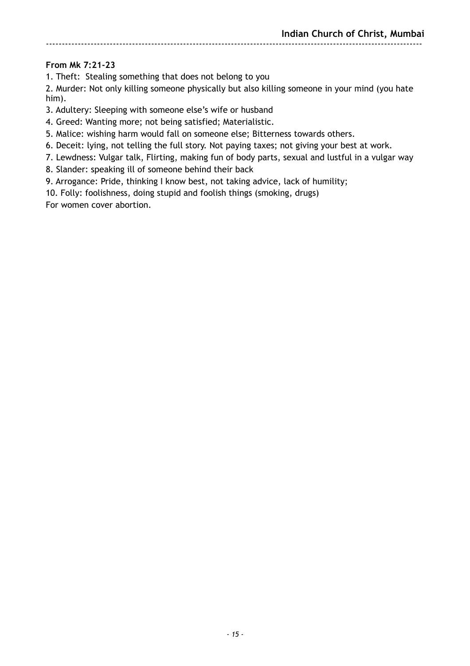## **From Mk 7:21-23**

1. Theft: Stealing something that does not belong to you

2. Murder: Not only killing someone physically but also killing someone in your mind (you hate him).

3. Adultery: Sleeping with someone else's wife or husband

4. Greed: Wanting more; not being satisfied; Materialistic.

5. Malice: wishing harm would fall on someone else; Bitterness towards others.

6. Deceit: lying, not telling the full story. Not paying taxes; not giving your best at work.

7. Lewdness: Vulgar talk, Flirting, making fun of body parts, sexual and lustful in a vulgar way

8. Slander: speaking ill of someone behind their back

9. Arrogance: Pride, thinking I know best, not taking advice, lack of humility;

10. Folly: foolishness, doing stupid and foolish things (smoking, drugs)

For women cover abortion.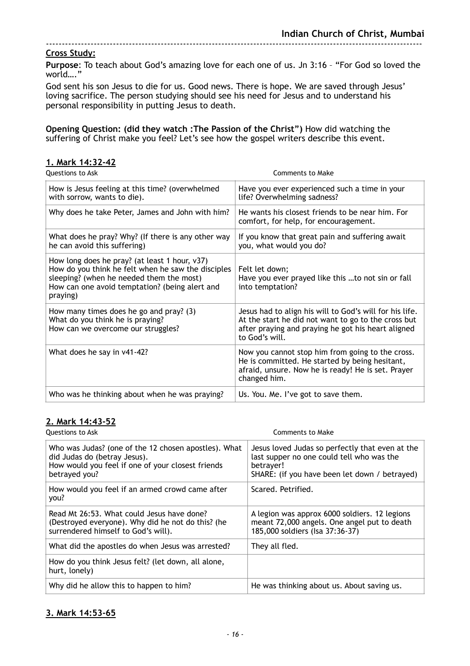#### **Cross Study:**

**Purpose**: To teach about God's amazing love for each one of us. Jn 3:16 – "For God so loved the world…."

God sent his son Jesus to die for us. Good news. There is hope. We are saved through Jesus' loving sacrifice. The person studying should see his need for Jesus and to understand his personal responsibility in putting Jesus to death.

**Opening Question: (did they watch :The Passion of the Christ")** How did watching the suffering of Christ make you feel? Let's see how the gospel writers describe this event.

| 1. Mark 14:32-42                                                                                                                                                                                              |                                                                                                                                                                                        |
|---------------------------------------------------------------------------------------------------------------------------------------------------------------------------------------------------------------|----------------------------------------------------------------------------------------------------------------------------------------------------------------------------------------|
| <b>Questions to Ask</b>                                                                                                                                                                                       | Comments to Make                                                                                                                                                                       |
| How is Jesus feeling at this time? (overwhelmed<br>with sorrow, wants to die).                                                                                                                                | Have you ever experienced such a time in your<br>life? Overwhelming sadness?                                                                                                           |
| Why does he take Peter, James and John with him?                                                                                                                                                              | He wants his closest friends to be near him. For<br>comfort, for help, for encouragement.                                                                                              |
| What does he pray? Why? (If there is any other way<br>he can avoid this suffering)                                                                                                                            | If you know that great pain and suffering await<br>you, what would you do?                                                                                                             |
| How long does he pray? (at least 1 hour, v37)<br>How do you think he felt when he saw the disciples<br>sleeping? (when he needed them the most)<br>How can one avoid temptation? (being alert and<br>praying) | Felt let down;<br>Have you ever prayed like this to not sin or fall<br>into temptation?                                                                                                |
| How many times does he go and pray? (3)<br>What do you think he is praying?<br>How can we overcome our struggles?                                                                                             | Jesus had to align his will to God's will for his life.<br>At the start he did not want to go to the cross but<br>after praying and praying he got his heart aligned<br>to God's will. |
| What does he say in v41-42?                                                                                                                                                                                   | Now you cannot stop him from going to the cross.<br>He is committed. He started by being hesitant,<br>afraid, unsure. Now he is ready! He is set. Prayer<br>changed him.               |
| Who was he thinking about when he was praying?                                                                                                                                                                | Us. You. Me. I've got to save them.                                                                                                                                                    |

#### **2. Mark 14:43-52**

| Questions to Ask                                                                                                                                           | Comments to Make                                                                                                                                           |
|------------------------------------------------------------------------------------------------------------------------------------------------------------|------------------------------------------------------------------------------------------------------------------------------------------------------------|
| Who was Judas? (one of the 12 chosen apostles). What<br>did Judas do (betray Jesus).<br>How would you feel if one of your closest friends<br>betrayed you? | Jesus loved Judas so perfectly that even at the<br>last supper no one could tell who was the<br>betrayer!<br>SHARE: (if you have been let down / betrayed) |
| How would you feel if an armed crowd came after<br>you?                                                                                                    | Scared, Petrified.                                                                                                                                         |
| Read Mt 26:53. What could Jesus have done?<br>(Destroyed everyone). Why did he not do this? (he<br>surrendered himself to God's will).                     | A legion was approx 6000 soldiers. 12 legions<br>meant 72,000 angels. One angel put to death<br>185,000 soldiers (Isa 37:36-37)                            |
| What did the apostles do when Jesus was arrested?                                                                                                          | They all fled.                                                                                                                                             |
| How do you think Jesus felt? (let down, all alone,<br>hurt, lonely)                                                                                        |                                                                                                                                                            |
| Why did he allow this to happen to him?                                                                                                                    | He was thinking about us. About saving us.                                                                                                                 |

#### **3. Mark 14:53-65**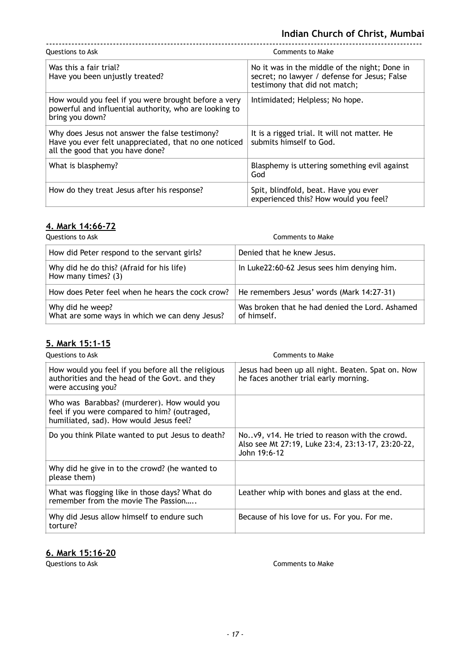| Questions to Ask                                                                                                                            | Comments to Make                                                                                                               |
|---------------------------------------------------------------------------------------------------------------------------------------------|--------------------------------------------------------------------------------------------------------------------------------|
| Was this a fair trial?<br>Have you been unjustly treated?                                                                                   | No it was in the middle of the night; Done in<br>secret; no lawyer / defense for Jesus; False<br>testimony that did not match; |
| How would you feel if you were brought before a very<br>powerful and influential authority, who are looking to<br>bring you down?           | Intimidated; Helpless; No hope.                                                                                                |
| Why does Jesus not answer the false testimony?<br>Have you ever felt unappreciated, that no one noticed<br>all the good that you have done? | It is a rigged trial. It will not matter. He<br>submits himself to God.                                                        |
| What is blasphemy?                                                                                                                          | Blasphemy is uttering something evil against<br>God                                                                            |
| How do they treat Jesus after his response?                                                                                                 | Spit, blindfold, beat. Have you ever<br>experienced this? How would you feel?                                                  |

# **4. Mark 14:66-72**

| Questions to Ask                                                   | Comments to Make                                               |
|--------------------------------------------------------------------|----------------------------------------------------------------|
| How did Peter respond to the servant girls?                        | Denied that he knew Jesus.                                     |
| Why did he do this? (Afraid for his life)<br>How many times? (3)   | In Luke 22:60-62 Jesus sees him denying him.                   |
| How does Peter feel when he hears the cock crow?                   | He remembers Jesus' words (Mark 14:27-31)                      |
| Why did he weep?<br>What are some ways in which we can deny Jesus? | Was broken that he had denied the Lord, Ashamed<br>of himself. |

## **5. Mark 15:1-15**

| Questions to Ask                                                                                                                       | Comments to Make                                                                                                   |
|----------------------------------------------------------------------------------------------------------------------------------------|--------------------------------------------------------------------------------------------------------------------|
| How would you feel if you before all the religious<br>authorities and the head of the Govt. and they<br>were accusing you?             | Jesus had been up all night. Beaten. Spat on. Now<br>he faces another trial early morning.                         |
| Who was Barabbas? (murderer). How would you<br>feel if you were compared to him? (outraged,<br>humiliated, sad). How would Jesus feel? |                                                                                                                    |
| Do you think Pilate wanted to put Jesus to death?                                                                                      | Nov9, v14. He tried to reason with the crowd.<br>Also see Mt 27:19, Luke 23:4, 23:13-17, 23:20-22,<br>John 19:6-12 |
| Why did he give in to the crowd? (he wanted to<br>please them)                                                                         |                                                                                                                    |
| What was flogging like in those days? What do<br>remember from the movie The Passion                                                   | Leather whip with bones and glass at the end.                                                                      |
| Why did Jesus allow himself to endure such<br>torture?                                                                                 | Because of his love for us. For you. For me.                                                                       |

### **6. Mark 15:16-20**

**Questions to Ask** Comments to Make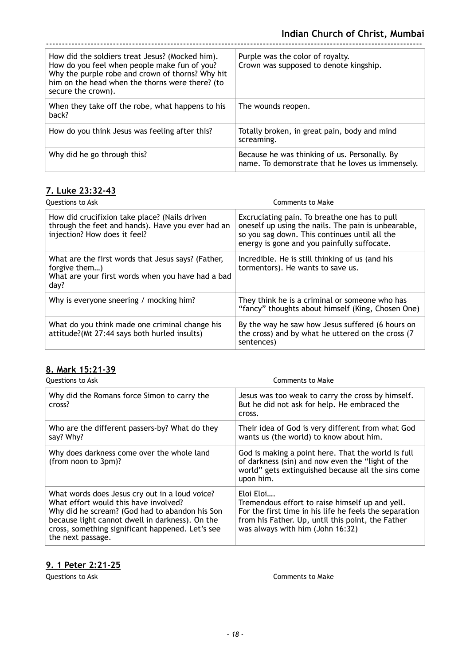| How did the soldiers treat Jesus? (Mocked him).<br>How do you feel when people make fun of you?<br>Why the purple robe and crown of thorns? Why hit<br>him on the head when the thorns were there? (to<br>secure the crown). | Purple was the color of royalty.<br>Crown was supposed to denote kingship.                        |
|------------------------------------------------------------------------------------------------------------------------------------------------------------------------------------------------------------------------------|---------------------------------------------------------------------------------------------------|
| When they take off the robe, what happens to his<br>back?                                                                                                                                                                    | The wounds reopen.                                                                                |
| How do you think Jesus was feeling after this?                                                                                                                                                                               | Totally broken, in great pain, body and mind<br>screaming.                                        |
| Why did he go through this?                                                                                                                                                                                                  | Because he was thinking of us. Personally. By<br>name. To demonstrate that he loves us immensely. |

### **7. Luke 23:32-43**

| Questions to Ask                                                                                                                   | Comments to Make                                                                                                                                                                                     |
|------------------------------------------------------------------------------------------------------------------------------------|------------------------------------------------------------------------------------------------------------------------------------------------------------------------------------------------------|
| How did crucifixion take place? (Nails driven<br>through the feet and hands). Have you ever had an<br>injection? How does it feel? | Excruciating pain. To breathe one has to pull<br>oneself up using the nails. The pain is unbearable,<br>so you sag down. This continues until all the<br>energy is gone and you painfully suffocate. |
| What are the first words that Jesus says? (Father,<br>forgive them)<br>What are your first words when you have had a bad<br>day?   | Incredible. He is still thinking of us (and his<br>tormentors). He wants to save us.                                                                                                                 |
| Why is everyone sneering / mocking him?                                                                                            | They think he is a criminal or someone who has<br>"fancy" thoughts about himself (King, Chosen One)                                                                                                  |
| What do you think made one criminal change his<br>attitude?(Mt 27:44 says both hurled insults)                                     | By the way he saw how Jesus suffered (6 hours on<br>the cross) and by what he uttered on the cross (7<br>sentences)                                                                                  |

## **8. Mark 15:21-39**

| Questions to Ask                                                                                                                                                                                                                                                      | Comments to Make                                                                                                                                                                                                |
|-----------------------------------------------------------------------------------------------------------------------------------------------------------------------------------------------------------------------------------------------------------------------|-----------------------------------------------------------------------------------------------------------------------------------------------------------------------------------------------------------------|
| Why did the Romans force Simon to carry the<br>cross?                                                                                                                                                                                                                 | Jesus was too weak to carry the cross by himself.<br>But he did not ask for help. He embraced the<br>cross.                                                                                                     |
| Who are the different passers-by? What do they<br>say? Why?                                                                                                                                                                                                           | Their idea of God is very different from what God<br>wants us (the world) to know about him.                                                                                                                    |
| Why does darkness come over the whole land<br>(from noon to 3pm)?                                                                                                                                                                                                     | God is making a point here. That the world is full<br>of darkness (sin) and now even the "light of the<br>world" gets extinguished because all the sins come<br>upon him.                                       |
| What words does Jesus cry out in a loud voice?<br>What effort would this have involved?<br>Why did he scream? (God had to abandon his Son<br>because light cannot dwell in darkness). On the<br>cross, something significant happened. Let's see<br>the next passage. | Eloi Eloi<br>Tremendous effort to raise himself up and yell.<br>For the first time in his life he feels the separation<br>from his Father. Up, until this point, the Father<br>was always with him (John 16:32) |

### **9. 1 Peter 2:21-25**

**Questions to Ask** Comments to Make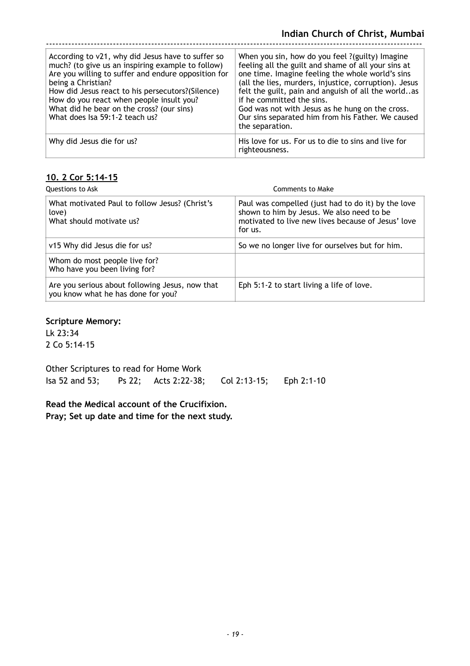| According to v21, why did Jesus have to suffer so<br>much? (to give us an inspiring example to follow)<br>Are you willing to suffer and endure opposition for<br>being a Christian?<br>How did Jesus react to his persecutors?(Silence)<br>How do you react when people insult you?<br>What did he bear on the cross? (our sins)<br>What does Isa 59:1-2 teach us? | When you sin, how do you feel ?(guilty) Imagine<br>feeling all the guilt and shame of all your sins at<br>one time. Imagine feeling the whole world's sins<br>(all the lies, murders, injustice, corruption). Jesus<br>felt the guilt, pain and anguish of all the worldas<br>if he committed the sins.<br>God was not with Jesus as he hung on the cross.<br>Our sins separated him from his Father. We caused<br>the separation. |
|--------------------------------------------------------------------------------------------------------------------------------------------------------------------------------------------------------------------------------------------------------------------------------------------------------------------------------------------------------------------|------------------------------------------------------------------------------------------------------------------------------------------------------------------------------------------------------------------------------------------------------------------------------------------------------------------------------------------------------------------------------------------------------------------------------------|
| Why did Jesus die for us?                                                                                                                                                                                                                                                                                                                                          | His love for us. For us to die to sins and live for<br>righteousness.                                                                                                                                                                                                                                                                                                                                                              |

### **10. 2 Cor 5:14-15**

| <b>Ouestions to Ask</b>                                                               | Comments to Make                                                                                                                                                 |
|---------------------------------------------------------------------------------------|------------------------------------------------------------------------------------------------------------------------------------------------------------------|
| What motivated Paul to follow Jesus? (Christ's<br>love)<br>What should motivate us?   | Paul was compelled (just had to do it) by the love<br>shown to him by Jesus. We also need to be<br>motivated to live new lives because of Jesus' love<br>for us. |
| v15 Why did Jesus die for us?                                                         | So we no longer live for ourselves but for him.                                                                                                                  |
| Whom do most people live for?<br>Who have you been living for?                        |                                                                                                                                                                  |
| Are you serious about following Jesus, now that<br>you know what he has done for you? | Eph 5:1-2 to start living a life of love.                                                                                                                        |

#### **Scripture Memory:**

Lk 23:34 2 Co 5:14-15

Other Scriptures to read for Home Work Isa 52 and 53; Ps 22; Acts 2:22-38; Col 2:13-15; Eph 2:1-10

**Read the Medical account of the Crucifixion. Pray; Set up date and time for the next study.**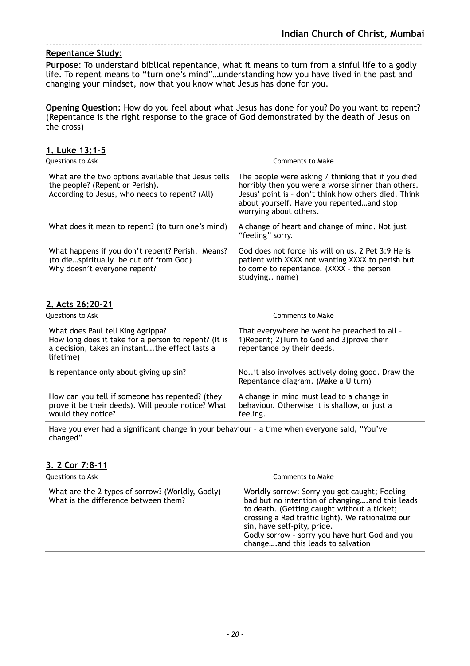#### **Repentance Study:**

**Purpose**: To understand biblical repentance, what it means to turn from a sinful life to a godly life. To repent means to "turn one's mind"…understanding how you have lived in the past and changing your mindset, now that you know what Jesus has done for you.

**Opening Question:** How do you feel about what Jesus has done for you? Do you want to repent? (Repentance is the right response to the grace of God demonstrated by the death of Jesus on the cross)

#### **1. Luke 13:1-5**

| Questions to Ask                                                                                                                         | Comments to Make                                                                                                                                                                                                                        |
|------------------------------------------------------------------------------------------------------------------------------------------|-----------------------------------------------------------------------------------------------------------------------------------------------------------------------------------------------------------------------------------------|
| What are the two options available that Jesus tells<br>the people? (Repent or Perish).<br>According to Jesus, who needs to repent? (All) | The people were asking / thinking that if you died<br>horribly then you were a worse sinner than others.<br>Jesus' point is - don't think how others died. Think<br>about yourself. Have you repentedand stop<br>worrying about others. |
| What does it mean to repent? (to turn one's mind)                                                                                        | A change of heart and change of mind. Not just<br>"feeling" sorry.                                                                                                                                                                      |
| What happens if you don't repent? Perish. Means?<br>(to diespirituallybe cut off from God)<br>Why doesn't everyone repent?               | God does not force his will on us. 2 Pet 3:9 He is<br>patient with XXXX not wanting XXXX to perish but<br>to come to repentance. (XXXX - the person<br>studying name)                                                                   |

#### **2. Acts 26:20-21**

| Questions to Ask                                                                                                                                         | Comments to Make                                                                                                           |
|----------------------------------------------------------------------------------------------------------------------------------------------------------|----------------------------------------------------------------------------------------------------------------------------|
| What does Paul tell King Agrippa?<br>How long does it take for a person to repent? (It is<br>a decision, takes an instantthe effect lasts a<br>lifetime) | That everywhere he went he preached to all -<br>1) Repent; 2) Turn to God and 3) prove their<br>repentance by their deeds. |
| Is repentance only about giving up sin?                                                                                                                  | Noit also involves actively doing good. Draw the<br>Repentance diagram. (Make a U turn)                                    |
| How can you tell if someone has repented? (they<br>prove it be their deeds). Will people notice? What<br>would they notice?                              | A change in mind must lead to a change in<br>behaviour. Otherwise it is shallow, or just a<br>feeling.                     |
| Have you ever had a significant change in your behaviour - a time when everyone said, "You've<br>changed"                                                |                                                                                                                            |

#### **3. 2 Cor 7:8-11**

| Questions to Ask                                                                         | Comments to Make                                                                                                                                                                                                                                                                                                          |
|------------------------------------------------------------------------------------------|---------------------------------------------------------------------------------------------------------------------------------------------------------------------------------------------------------------------------------------------------------------------------------------------------------------------------|
| What are the 2 types of sorrow? (Worldly, Godly)<br>What is the difference between them? | Worldly sorrow: Sorry you got caught; Feeling<br>bad but no intention of changingand this leads<br>to death. (Getting caught without a ticket;<br>crossing a Red traffic light). We rationalize our<br>sin, have self-pity, pride.<br>Godly sorrow - sorry you have hurt God and you<br>changeand this leads to salvation |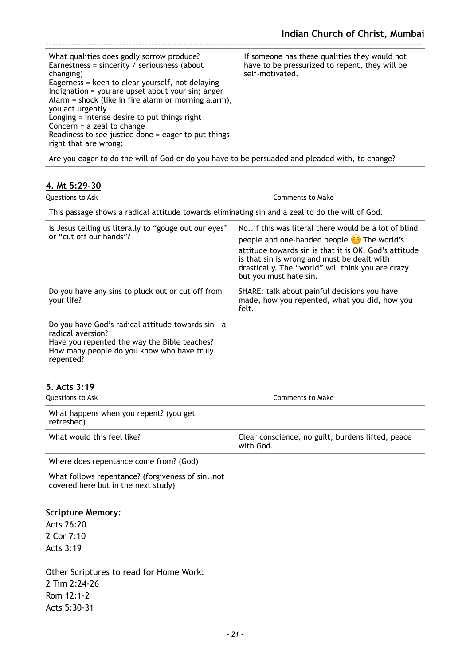| What qualities does godly sorrow produce?<br>Earnestness = sincerity / seriousness (about<br>changing)<br>Eagerness = keen to clear yourself, not delaying<br>Indignation = you are upset about your sin; anger<br>Alarm = shock (like in fire alarm or morning alarm),<br>you act urgently<br>Longing = intense desire to put things right<br>Concern $=$ a zeal to change<br>Readiness to see justice done $=$ eager to put things<br>right that are wrong; | If someone has these qualities they would not<br>have to be pressurized to repent, they will be<br>self-motivated. |
|---------------------------------------------------------------------------------------------------------------------------------------------------------------------------------------------------------------------------------------------------------------------------------------------------------------------------------------------------------------------------------------------------------------------------------------------------------------|--------------------------------------------------------------------------------------------------------------------|
| Are you eager to do the will of God or do you have to be persuaded and pleaded with, to change?                                                                                                                                                                                                                                                                                                                                                               |                                                                                                                    |

## **4. Mt 5:29-30**

| Questions to Ask                                                                                                                                                                   | Comments to Make                                                                                                                                                                                                                                                                                    |
|------------------------------------------------------------------------------------------------------------------------------------------------------------------------------------|-----------------------------------------------------------------------------------------------------------------------------------------------------------------------------------------------------------------------------------------------------------------------------------------------------|
| This passage shows a radical attitude towards eliminating sin and a zeal to do the will of God.                                                                                    |                                                                                                                                                                                                                                                                                                     |
| Is Jesus telling us literally to "gouge out our eyes"<br>or "cut off our hands"?                                                                                                   | No. if this was literal there would be a lot of blind<br>people and one-handed people $\bigodot$ The world's<br>attitude towards sin is that it is OK. God's attitude<br>is that sin is wrong and must be dealt with<br>drastically. The "world" will think you are crazy<br>but you must hate sin. |
| Do you have any sins to pluck out or cut off from<br>your life?                                                                                                                    | SHARE: talk about painful decisions you have<br>made, how you repented, what you did, how you<br>felt.                                                                                                                                                                                              |
| Do you have God's radical attitude towards sin - a<br>radical aversion?<br>Have you repented the way the Bible teaches?<br>How many people do you know who have truly<br>repented? |                                                                                                                                                                                                                                                                                                     |

#### **5. Acts 3:19**

| Questions to Ask                                                                       | Comments to Make                                               |
|----------------------------------------------------------------------------------------|----------------------------------------------------------------|
| What happens when you repent? (you get<br>refreshed)                                   |                                                                |
| What would this feel like?                                                             | Clear conscience, no guilt, burdens lifted, peace<br>with God. |
| Where does repentance come from? (God)                                                 |                                                                |
| What follows repentance? (forgiveness of sinnot<br>covered here but in the next study) |                                                                |

#### **Scripture Memory:**

Acts 26:20 2 Cor 7:10 Acts 3:19

Other Scriptures to read for Home Work: 2 Tim 2:24-26 Rom 12:1-2 Acts 5:30-31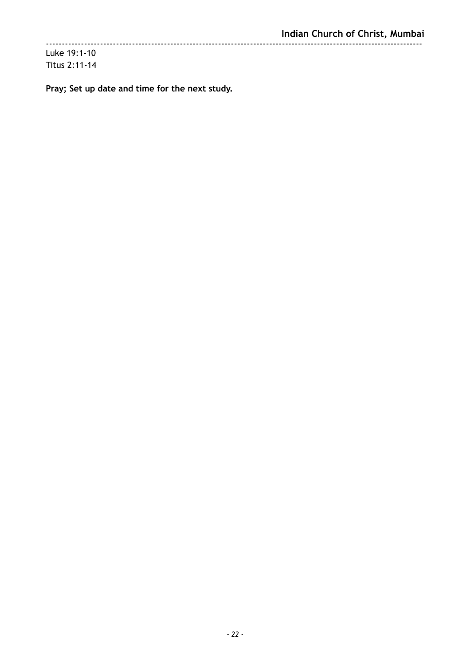**Pray; Set up date and time for the next study.**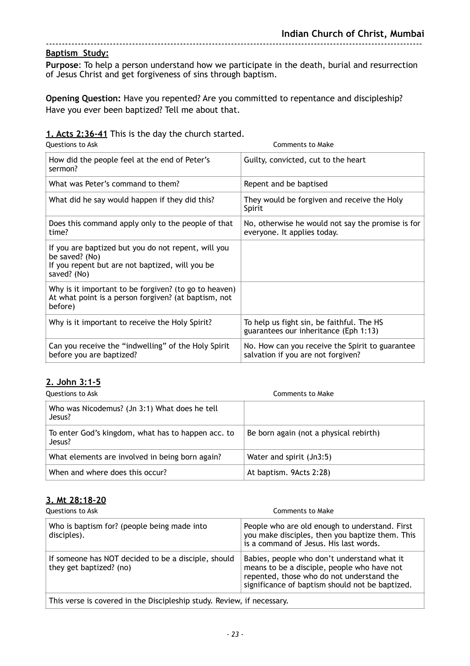**Purpose**: To help a person understand how we participate in the death, burial and resurrection of Jesus Christ and get forgiveness of sins through baptism.

**Opening Question:** Have you repented? Are you committed to repentance and discipleship? Have you ever been baptized? Tell me about that.

#### **1. Acts 2:36-41** This is the day the church started.

| <b>Questions to Ask</b>                                                                                                                 | <b>Comments to Make</b>                                                               |
|-----------------------------------------------------------------------------------------------------------------------------------------|---------------------------------------------------------------------------------------|
| How did the people feel at the end of Peter's<br>sermon?                                                                                | Guilty, convicted, cut to the heart                                                   |
| What was Peter's command to them?                                                                                                       | Repent and be baptised                                                                |
| What did he say would happen if they did this?                                                                                          | They would be forgiven and receive the Holy<br>Spirit                                 |
| Does this command apply only to the people of that<br>time?                                                                             | No, otherwise he would not say the promise is for<br>everyone. It applies today.      |
| If you are baptized but you do not repent, will you<br>be saved? (No)<br>If you repent but are not baptized, will you be<br>saved? (No) |                                                                                       |
| Why is it important to be forgiven? (to go to heaven)<br>At what point is a person forgiven? (at baptism, not<br>before)                |                                                                                       |
| Why is it important to receive the Holy Spirit?                                                                                         | To help us fight sin, be faithful. The HS<br>guarantees our inheritance (Eph 1:13)    |
| Can you receive the "indwelling" of the Holy Spirit<br>before you are baptized?                                                         | No. How can you receive the Spirit to guarantee<br>salvation if you are not forgiven? |

#### **2. John 3:1-5**

| Questions to Ask                                             | Comments to Make                       |
|--------------------------------------------------------------|----------------------------------------|
| Who was Nicodemus? (Jn 3:1) What does he tell<br>Jesus?      |                                        |
| To enter God's kingdom, what has to happen acc. to<br>Jesus? | Be born again (not a physical rebirth) |
| What elements are involved in being born again?              | Water and spirit (Jn3:5)               |
| When and where does this occur?                              | At baptism. 9Acts 2:28)                |

#### **3. Mt 28:18-20**

| Questions to Ask                                                               | Comments to Make                                                                                                                                                                           |  |
|--------------------------------------------------------------------------------|--------------------------------------------------------------------------------------------------------------------------------------------------------------------------------------------|--|
| Who is baptism for? (people being made into<br>disciples).                     | People who are old enough to understand. First<br>you make disciples, then you baptize them. This<br>is a command of Jesus. His last words.                                                |  |
| If someone has NOT decided to be a disciple, should<br>they get baptized? (no) | Babies, people who don't understand what it<br>means to be a disciple, people who have not<br>repented, those who do not understand the<br>significance of baptism should not be baptized. |  |
| This verse is covered in the Discipleship study. Review, if necessary.         |                                                                                                                                                                                            |  |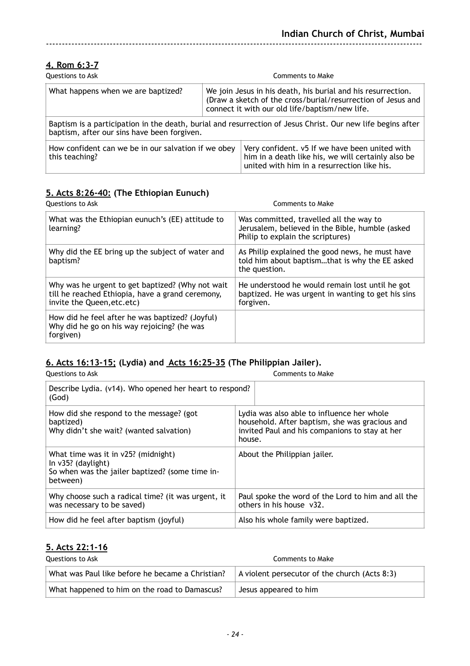### **4. Rom 6:3-7**

| Questions to Ask                                                                                                                                           |                                                                                                                                                                                | <b>Comments to Make</b>                                                                                                                             |  |
|------------------------------------------------------------------------------------------------------------------------------------------------------------|--------------------------------------------------------------------------------------------------------------------------------------------------------------------------------|-----------------------------------------------------------------------------------------------------------------------------------------------------|--|
| What happens when we are baptized?                                                                                                                         | We join Jesus in his death, his burial and his resurrection.<br>(Draw a sketch of the cross/burial/resurrection of Jesus and<br>connect it with our old life/baptism/new life. |                                                                                                                                                     |  |
| Baptism is a participation in the death, burial and resurrection of Jesus Christ. Our new life begins after<br>baptism, after our sins have been forgiven. |                                                                                                                                                                                |                                                                                                                                                     |  |
| How confident can we be in our salvation if we obey<br>this teaching?                                                                                      |                                                                                                                                                                                | Very confident. v5 If we have been united with<br>him in a death like his, we will certainly also be<br>united with him in a resurrection like his. |  |

### **5. Acts 8:26-40: (The Ethiopian Eunuch)**

| <b>Questions to Ask</b>                                                                                                             | <b>Comments to Make</b>                                                                                                         |
|-------------------------------------------------------------------------------------------------------------------------------------|---------------------------------------------------------------------------------------------------------------------------------|
| What was the Ethiopian eunuch's (EE) attitude to<br>learning?                                                                       | Was committed, travelled all the way to<br>Jerusalem, believed in the Bible, humble (asked<br>Philip to explain the scriptures) |
| Why did the EE bring up the subject of water and<br>baptism?                                                                        | As Philip explained the good news, he must have<br>told him about baptismthat is why the EE asked<br>the question.              |
| Why was he urgent to get baptized? (Why not wait<br>till he reached Ethiopia, have a grand ceremony,<br>invite the Queen, etc. etc) | He understood he would remain lost until he got<br>baptized. He was urgent in wanting to get his sins<br>forgiven.              |
| How did he feel after he was baptized? (Joyful)<br>Why did he go on his way rejoicing? (he was<br>forgiven)                         |                                                                                                                                 |

### **6. Acts 16:13-15; (Lydia) and Acts 16:25-35 (The Philippian Jailer).**

| Questions to Ask                                                                                                            | Comments to Make                                                                                                                                         |  |
|-----------------------------------------------------------------------------------------------------------------------------|----------------------------------------------------------------------------------------------------------------------------------------------------------|--|
| Describe Lydia. (v14). Who opened her heart to respond?<br>(God)                                                            |                                                                                                                                                          |  |
| How did she respond to the message? (got<br>baptized)<br>Why didn't she wait? (wanted salvation)                            | Lydia was also able to influence her whole<br>household. After baptism, she was gracious and<br>invited Paul and his companions to stay at her<br>house. |  |
| What time was it in v25? (midnight)<br>In $v35$ ? (daylight)<br>So when was the jailer baptized? (some time in-<br>between) | About the Philippian jailer.                                                                                                                             |  |
| Why choose such a radical time? (it was urgent, it<br>was necessary to be saved)                                            | Paul spoke the word of the Lord to him and all the<br>others in his house v32.                                                                           |  |
| How did he feel after baptism (joyful)                                                                                      | Also his whole family were baptized.                                                                                                                     |  |

### **5. Acts 22:1-16**

| Questions to Ask                                 | Comments to Make                                      |
|--------------------------------------------------|-------------------------------------------------------|
| What was Paul like before he became a Christian? | $\vert$ A violent persecutor of the church (Acts 8:3) |
| What happened to him on the road to Damascus?    | Jesus appeared to him                                 |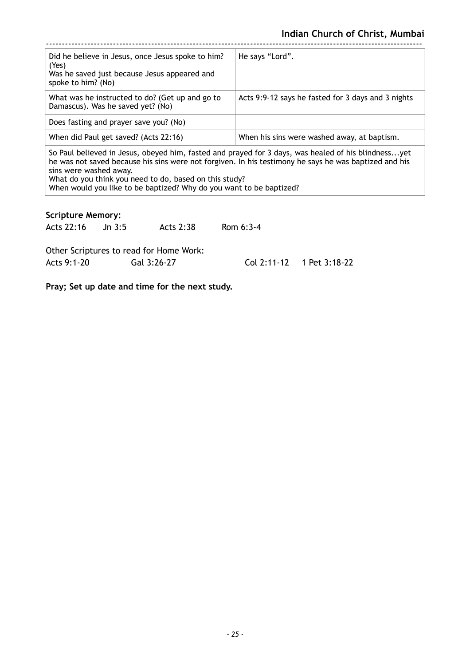| Did he believe in Jesus, once Jesus spoke to him?<br>(Yes)<br>Was he saved just because Jesus appeared and<br>spoke to him? (No)                                                                             | He says "Lord".                                    |  |
|--------------------------------------------------------------------------------------------------------------------------------------------------------------------------------------------------------------|----------------------------------------------------|--|
| What was he instructed to do? (Get up and go to<br>Damascus). Was he saved yet? (No)                                                                                                                         | Acts 9:9-12 says he fasted for 3 days and 3 nights |  |
| Does fasting and prayer save you? (No)                                                                                                                                                                       |                                                    |  |
| When did Paul get saved? (Acts 22:16)                                                                                                                                                                        | When his sins were washed away, at baptism.        |  |
| So Paul believed in Jesus, obeyed him, fasted and prayed for 3 days, was healed of his blindnessyet<br>he was not saved because his sins were not forgiven. In his testimony he says he was baptized and his |                                                    |  |

he was not saved because his sins were not forgiven. In his testimony he says he was baptized and his sins were washed away. What do you think you need to do, based on this study?

When would you like to be baptized? Why do you want to be baptized?

| <b>Scripture Memory:</b> |                                         |             |                           |
|--------------------------|-----------------------------------------|-------------|---------------------------|
| Acts 22:16 Jn 3:5        | Acts 2:38                               | Rom $6:3-4$ |                           |
|                          | Other Scriptures to read for Home Work: |             |                           |
| Acts 9:1-20              | Gal 3:26-27                             |             | Col 2:11-12 1 Pet 3:18-22 |
|                          |                                         |             |                           |

**Pray; Set up date and time for the next study.**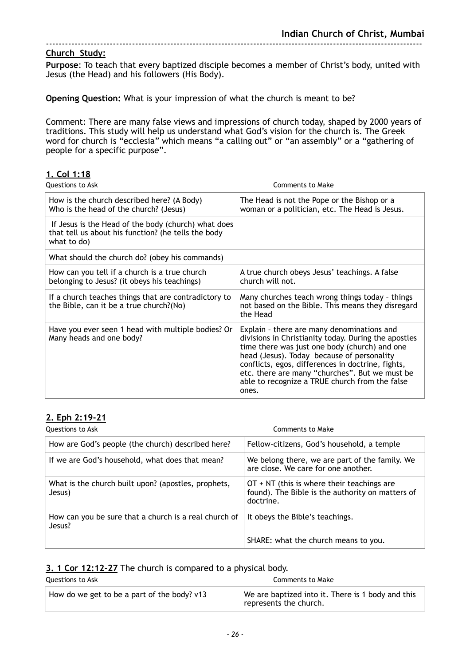**Purpose**: To teach that every baptized disciple becomes a member of Christ's body, united with Jesus (the Head) and his followers (His Body).

**Opening Question:** What is your impression of what the church is meant to be?

Comment: There are many false views and impressions of church today, shaped by 2000 years of traditions. This study will help us understand what God's vision for the church is. The Greek word for church is "ecclesia" which means "a calling out" or "an assembly" or a "gathering of people for a specific purpose".

#### **1. Col 1:18**

| <b>Questions to Ask</b>                                                                                                   | <b>Comments to Make</b>                                                                                                                                                                                                                                                                                                                                             |
|---------------------------------------------------------------------------------------------------------------------------|---------------------------------------------------------------------------------------------------------------------------------------------------------------------------------------------------------------------------------------------------------------------------------------------------------------------------------------------------------------------|
| How is the church described here? (A Body)<br>Who is the head of the church? (Jesus)                                      | The Head is not the Pope or the Bishop or a<br>woman or a politician, etc. The Head is Jesus.                                                                                                                                                                                                                                                                       |
| If Jesus is the Head of the body (church) what does<br>that tell us about his function? (he tells the body<br>what to do) |                                                                                                                                                                                                                                                                                                                                                                     |
| What should the church do? (obey his commands)                                                                            |                                                                                                                                                                                                                                                                                                                                                                     |
| How can you tell if a church is a true church<br>belonging to Jesus? (it obeys his teachings)                             | A true church obeys Jesus' teachings. A false<br>church will not.                                                                                                                                                                                                                                                                                                   |
| If a church teaches things that are contradictory to<br>the Bible, can it be a true church?(No)                           | Many churches teach wrong things today - things<br>not based on the Bible. This means they disregard<br>the Head                                                                                                                                                                                                                                                    |
| Have you ever seen 1 head with multiple bodies? Or<br>Many heads and one body?                                            | Explain - there are many denominations and<br>divisions in Christianity today. During the apostles<br>time there was just one body (church) and one<br>head (Jesus). Today because of personality<br>conflicts, egos, differences in doctrine, fights,<br>etc. there are many "churches". But we must be<br>able to recognize a TRUE church from the false<br>ones. |

#### **2. Eph 2:19-21**

| Questions to Ask                                                | Comments to Make                                                                                              |
|-----------------------------------------------------------------|---------------------------------------------------------------------------------------------------------------|
| How are God's people (the church) described here?               | Fellow-citizens, God's household, a temple                                                                    |
| If we are God's household, what does that mean?                 | We belong there, we are part of the family. We<br>are close. We care for one another.                         |
| What is the church built upon? (apostles, prophets,<br>Jesus)   | $OT + NT$ (this is where their teachings are<br>found). The Bible is the authority on matters of<br>doctrine. |
| How can you be sure that a church is a real church of<br>Jesus? | It obeys the Bible's teachings.                                                                               |
|                                                                 | SHARE: what the church means to you.                                                                          |

#### **3. 1 Cor 12:12-27** The church is compared to a physical body.

| Questions to Ask                            | Comments to Make                                                                    |
|---------------------------------------------|-------------------------------------------------------------------------------------|
| How do we get to be a part of the body? v13 | We are baptized into it. There is 1 body and this<br>$\perp$ represents the church. |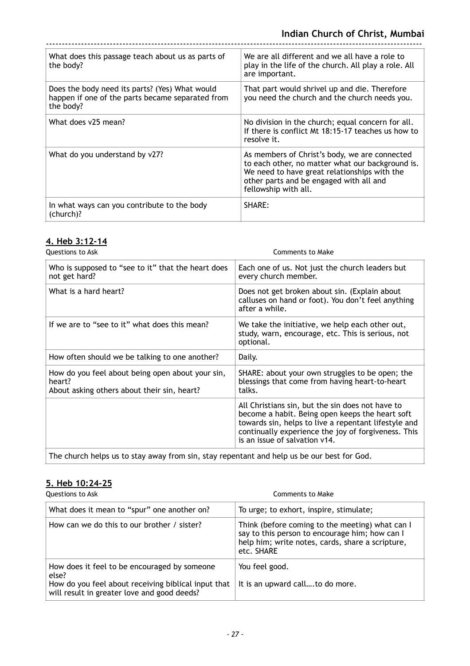| What does this passage teach about us as parts of<br>the body?                                                  | We are all different and we all have a role to<br>play in the life of the church. All play a role. All<br>are important.                                                                                             |
|-----------------------------------------------------------------------------------------------------------------|----------------------------------------------------------------------------------------------------------------------------------------------------------------------------------------------------------------------|
| Does the body need its parts? (Yes) What would<br>happen if one of the parts became separated from<br>the body? | That part would shrivel up and die. Therefore<br>you need the church and the church needs you.                                                                                                                       |
| What does v25 mean?                                                                                             | No division in the church; equal concern for all.<br>If there is conflict Mt 18:15-17 teaches us how to<br>resolve it.                                                                                               |
| What do you understand by v27?                                                                                  | As members of Christ's body, we are connected<br>to each other, no matter what our background is.<br>We need to have great relationships with the<br>other parts and be engaged with all and<br>fellowship with all. |
| In what ways can you contribute to the body<br>(church)?                                                        | SHARE:                                                                                                                                                                                                               |

## **4. Heb 3:12-14**

| Questions to Ask                                                                                          | <b>Comments to Make</b>                                                                                                                                                                                                                             |
|-----------------------------------------------------------------------------------------------------------|-----------------------------------------------------------------------------------------------------------------------------------------------------------------------------------------------------------------------------------------------------|
| Who is supposed to "see to it" that the heart does<br>not get hard?                                       | Each one of us. Not just the church leaders but<br>every church member.                                                                                                                                                                             |
| What is a hard heart?                                                                                     | Does not get broken about sin. (Explain about<br>calluses on hand or foot). You don't feel anything<br>after a while.                                                                                                                               |
| If we are to "see to it" what does this mean?                                                             | We take the initiative, we help each other out,<br>study, warn, encourage, etc. This is serious, not<br>optional.                                                                                                                                   |
| How often should we be talking to one another?                                                            | Daily.                                                                                                                                                                                                                                              |
| How do you feel about being open about your sin,<br>heart?<br>About asking others about their sin, heart? | SHARE: about your own struggles to be open; the<br>blessings that come from having heart-to-heart<br>talks.                                                                                                                                         |
|                                                                                                           | All Christians sin, but the sin does not have to<br>become a habit. Being open keeps the heart soft<br>towards sin, helps to live a repentant lifestyle and<br>continually experience the joy of forgiveness. This<br>is an issue of salvation v14. |
| The church helps us to stay away from sin, stay repentant and help us be our best for God.                |                                                                                                                                                                                                                                                     |

## **5. Heb 10:24-25**

| Questions to Ask                                                                                                                                            | Comments to Make                                                                                                                                                    |
|-------------------------------------------------------------------------------------------------------------------------------------------------------------|---------------------------------------------------------------------------------------------------------------------------------------------------------------------|
| What does it mean to "spur" one another on?                                                                                                                 | To urge; to exhort, inspire, stimulate;                                                                                                                             |
| How can we do this to our brother / sister?                                                                                                                 | Think (before coming to the meeting) what can I<br>say to this person to encourage him; how can I<br>help him; write notes, cards, share a scripture,<br>etc. SHARE |
| How does it feel to be encouraged by someone<br>else?<br>How do you feel about receiving biblical input that<br>will result in greater love and good deeds? | You feel good.<br>It is an upward callto do more.                                                                                                                   |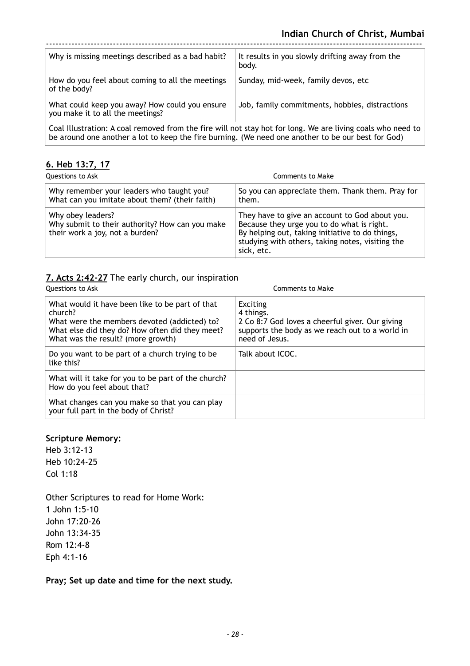| Why is missing meetings described as a bad habit?                                                                                                                                                                 | It results in you slowly drifting away from the<br>body. |
|-------------------------------------------------------------------------------------------------------------------------------------------------------------------------------------------------------------------|----------------------------------------------------------|
| How do you feel about coming to all the meetings<br>of the body?                                                                                                                                                  | Sunday, mid-week, family devos, etc                      |
| What could keep you away? How could you ensure<br>you make it to all the meetings?                                                                                                                                | Job, family commitments, hobbies, distractions           |
| Coal Illustration: A coal removed from the fire will not stay hot for long. We are living coals who need to<br>be around one another a lot to keep the fire burning. (We need one another to be our best for God) |                                                          |

**6. Heb 13:7, 17**

| Questions to Ask                                                                                        | Comments to Make                                                                                                                                                                                                  |
|---------------------------------------------------------------------------------------------------------|-------------------------------------------------------------------------------------------------------------------------------------------------------------------------------------------------------------------|
| Why remember your leaders who taught you?<br>What can you imitate about them? (their faith)             | So you can appreciate them. Thank them. Pray for<br>them.                                                                                                                                                         |
| Why obey leaders?<br>Why submit to their authority? How can you make<br>their work a joy, not a burden? | They have to give an account to God about you.<br>Because they urge you to do what is right.<br>By helping out, taking initiative to do things,<br>studying with others, taking notes, visiting the<br>sick, etc. |

## **7. Acts 2:42-27** The early church, our inspiration

| <b>Ouestions to Ask</b>                                                                                                                                                                             | Comments to Make                                                                                                                                     |
|-----------------------------------------------------------------------------------------------------------------------------------------------------------------------------------------------------|------------------------------------------------------------------------------------------------------------------------------------------------------|
| What would it have been like to be part of that<br>church?<br>What were the members devoted (addicted) to?<br>What else did they do? How often did they meet?<br>What was the result? (more growth) | <b>Exciting</b><br>4 things.<br>2 Co 8:7 God loves a cheerful giver. Our giving<br>supports the body as we reach out to a world in<br>need of Jesus. |
| Do you want to be part of a church trying to be<br>like this?                                                                                                                                       | Talk about ICOC.                                                                                                                                     |
| What will it take for you to be part of the church?<br>How do you feel about that?                                                                                                                  |                                                                                                                                                      |
| What changes can you make so that you can play<br>your full part in the body of Christ?                                                                                                             |                                                                                                                                                      |

#### **Scripture Memory:**

Heb 3:12-13 Heb 10:24-25 Col 1:18

Other Scriptures to read for Home Work: 1 John 1:5-10 John 17:20-26 John 13:34-35 Rom 12:4-8 Eph 4:1-16

**Pray; Set up date and time for the next study.**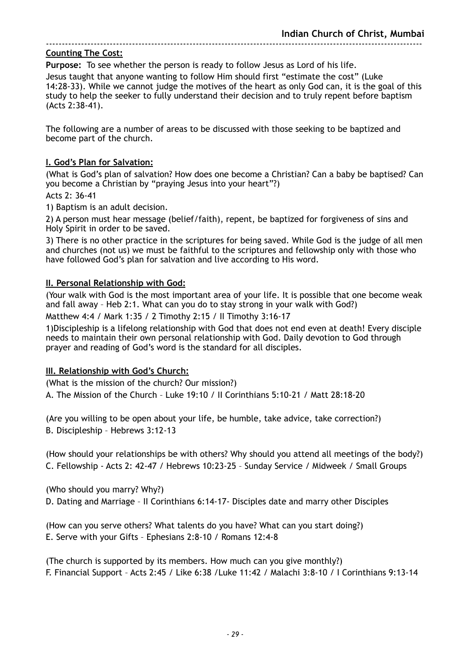**Purpose:** To see whether the person is ready to follow Jesus as Lord of his life.

Jesus taught that anyone wanting to follow Him should first "estimate the cost" (Luke 14:28-33). While we cannot judge the motives of the heart as only God can, it is the goal of this study to help the seeker to fully understand their decision and to truly repent before baptism (Acts 2:38-41).

The following are a number of areas to be discussed with those seeking to be baptized and become part of the church.

#### **I. God's Plan for Salvation:**

(What is God's plan of salvation? How does one become a Christian? Can a baby be baptised? Can you become a Christian by "praying Jesus into your heart"?)

Acts 2: 36-41

1) Baptism is an adult decision.

2) A person must hear message (belief/faith), repent, be baptized for forgiveness of sins and Holy Spirit in order to be saved.

3) There is no other practice in the scriptures for being saved. While God is the judge of all men and churches (not us) we must be faithful to the scriptures and fellowship only with those who have followed God's plan for salvation and live according to His word.

#### **II. Personal Relationship with God:**

(Your walk with God is the most important area of your life. It is possible that one become weak and fall away – Heb 2:1. What can you do to stay strong in your walk with God?)

Matthew 4:4 / Mark 1:35 / 2 Timothy 2:15 / II Timothy 3:16-17

1)Discipleship is a lifelong relationship with God that does not end even at death! Every disciple needs to maintain their own personal relationship with God. Daily devotion to God through prayer and reading of God's word is the standard for all disciples.

#### **III. Relationship with God's Church:**

(What is the mission of the church? Our mission?)

A. The Mission of the Church – Luke 19:10 / II Corinthians 5:10-21 / Matt 28:18-20

(Are you willing to be open about your life, be humble, take advice, take correction?) B. Discipleship – Hebrews 3:12-13

(How should your relationships be with others? Why should you attend all meetings of the body?) C. Fellowship - Acts 2: 42-47 / Hebrews 10:23-25 – Sunday Service / Midweek / Small Groups

(Who should you marry? Why?)

D. Dating and Marriage – II Corinthians 6:14-17- Disciples date and marry other Disciples

(How can you serve others? What talents do you have? What can you start doing?) E. Serve with your Gifts – Ephesians 2:8-10 / Romans 12:4-8

(The church is supported by its members. How much can you give monthly?) F. Financial Support – Acts 2:45 / Like 6:38 /Luke 11:42 / Malachi 3:8-10 / I Corinthians 9:13-14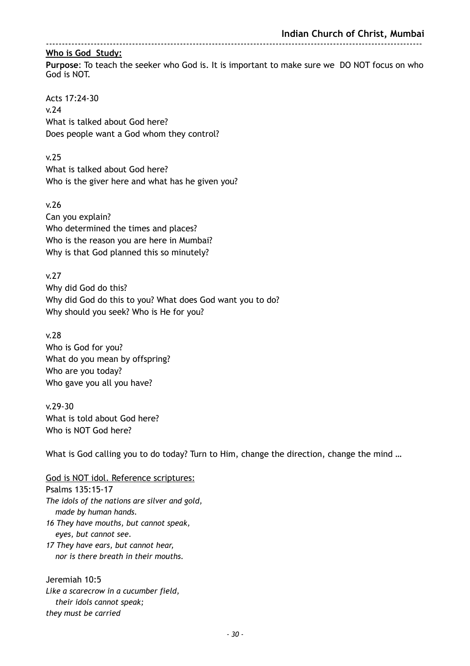**Purpose**: To teach the seeker who God is. It is important to make sure we DO NOT focus on who God is NOT.

Acts 17:24-30 v.24 What is talked about God here? Does people want a God whom they control?

v.25

What is talked about God here? Who is the giver here and what has he given you?

v.26 Can you explain? Who determined the times and places? Who is the reason you are here in Mumbai? Why is that God planned this so minutely?

v.27 Why did God do this? Why did God do this to you? What does God want you to do? Why should you seek? Who is He for you?

v.28 Who is God for you? What do you mean by offspring? Who are you today? Who gave you all you have?

v.29-30 What is told about God here? Who is NOT God here?

What is God calling you to do today? Turn to Him, change the direction, change the mind ...

God is NOT idol. Reference scriptures: Psalms 135:15-17 *The idols of the nations are silver and gold, made by human hands. 16 They have mouths, but cannot speak, eyes, but cannot see. 17 They have ears, but cannot hear, nor is there breath in their mouths.* 

Jeremiah 10:5 *Like a scarecrow in a cucumber field, their idols cannot speak; they must be carried*